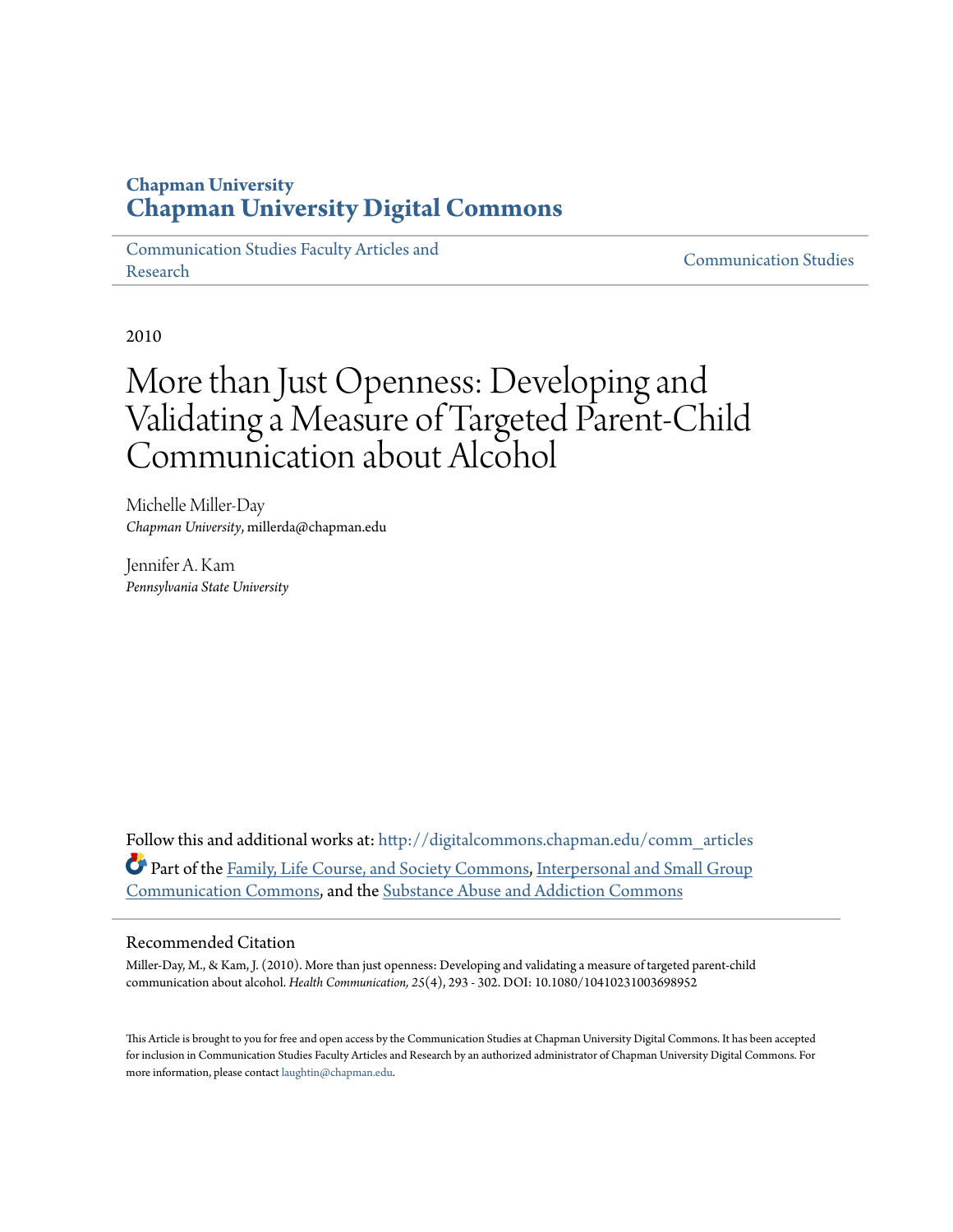### **Chapman University [Chapman University Digital Commons](http://digitalcommons.chapman.edu?utm_source=digitalcommons.chapman.edu%2Fcomm_articles%2F6&utm_medium=PDF&utm_campaign=PDFCoverPages)**

[Communication Studies Faculty Articles and](http://digitalcommons.chapman.edu/comm_articles?utm_source=digitalcommons.chapman.edu%2Fcomm_articles%2F6&utm_medium=PDF&utm_campaign=PDFCoverPages) [Research](http://digitalcommons.chapman.edu/comm_articles?utm_source=digitalcommons.chapman.edu%2Fcomm_articles%2F6&utm_medium=PDF&utm_campaign=PDFCoverPages) [Communication Studies](http://digitalcommons.chapman.edu/communication?utm_source=digitalcommons.chapman.edu%2Fcomm_articles%2F6&utm_medium=PDF&utm_campaign=PDFCoverPages)

2010

## More than Just Openness: Developing and Validating a Measure of Targeted Parent-Child Communication about Alcohol

Michelle Miller-Day *Chapman University*, millerda@chapman.edu

Jennifer A. Kam *Pennsylvania State University*

Follow this and additional works at: [http://digitalcommons.chapman.edu/comm\\_articles](http://digitalcommons.chapman.edu/comm_articles?utm_source=digitalcommons.chapman.edu%2Fcomm_articles%2F6&utm_medium=PDF&utm_campaign=PDFCoverPages) Part of the [Family, Life Course, and Society Commons](http://network.bepress.com/hgg/discipline/419?utm_source=digitalcommons.chapman.edu%2Fcomm_articles%2F6&utm_medium=PDF&utm_campaign=PDFCoverPages), [Interpersonal and Small Group](http://network.bepress.com/hgg/discipline/332?utm_source=digitalcommons.chapman.edu%2Fcomm_articles%2F6&utm_medium=PDF&utm_campaign=PDFCoverPages) [Communication Commons,](http://network.bepress.com/hgg/discipline/332?utm_source=digitalcommons.chapman.edu%2Fcomm_articles%2F6&utm_medium=PDF&utm_campaign=PDFCoverPages) and the [Substance Abuse and Addiction Commons](http://network.bepress.com/hgg/discipline/710?utm_source=digitalcommons.chapman.edu%2Fcomm_articles%2F6&utm_medium=PDF&utm_campaign=PDFCoverPages)

#### Recommended Citation

Miller-Day, M., & Kam, J. (2010). More than just openness: Developing and validating a measure of targeted parent-child communication about alcohol. *Health Communication, 25*(4), 293 - 302. DOI: 10.1080/10410231003698952

This Article is brought to you for free and open access by the Communication Studies at Chapman University Digital Commons. It has been accepted for inclusion in Communication Studies Faculty Articles and Research by an authorized administrator of Chapman University Digital Commons. For more information, please contact [laughtin@chapman.edu](mailto:laughtin@chapman.edu).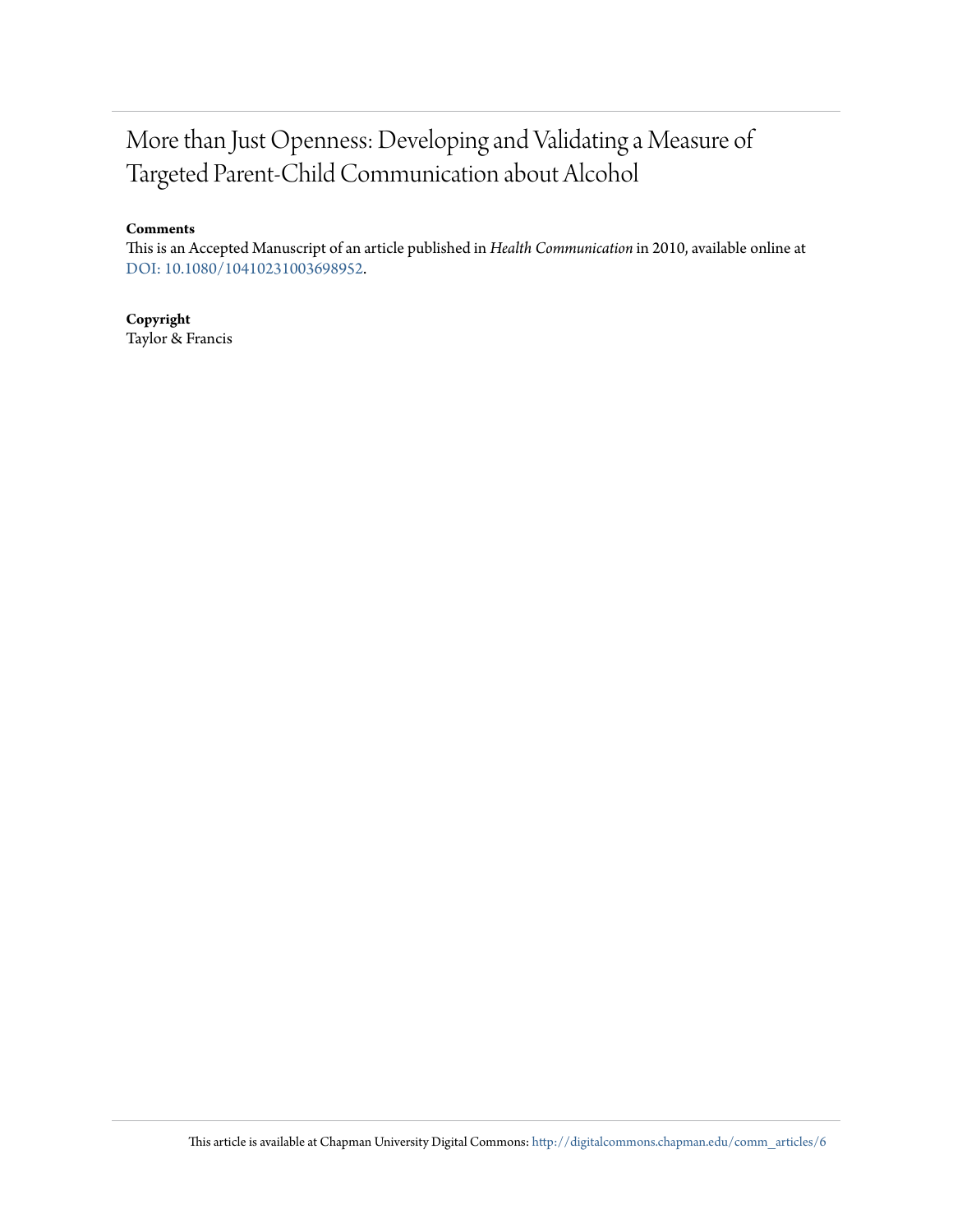## More than Just Openness: Developing and Validating a Measure of Targeted Parent-Child Communication about Alcohol

#### **Comments**

This is an Accepted Manuscript of an article published in *Health Communication* in 2010, available online at [DOI: 10.1080/10410231003698952](http://dx.doi.org/10.1080/10410231003698952).

#### **Copyright**

Taylor & Francis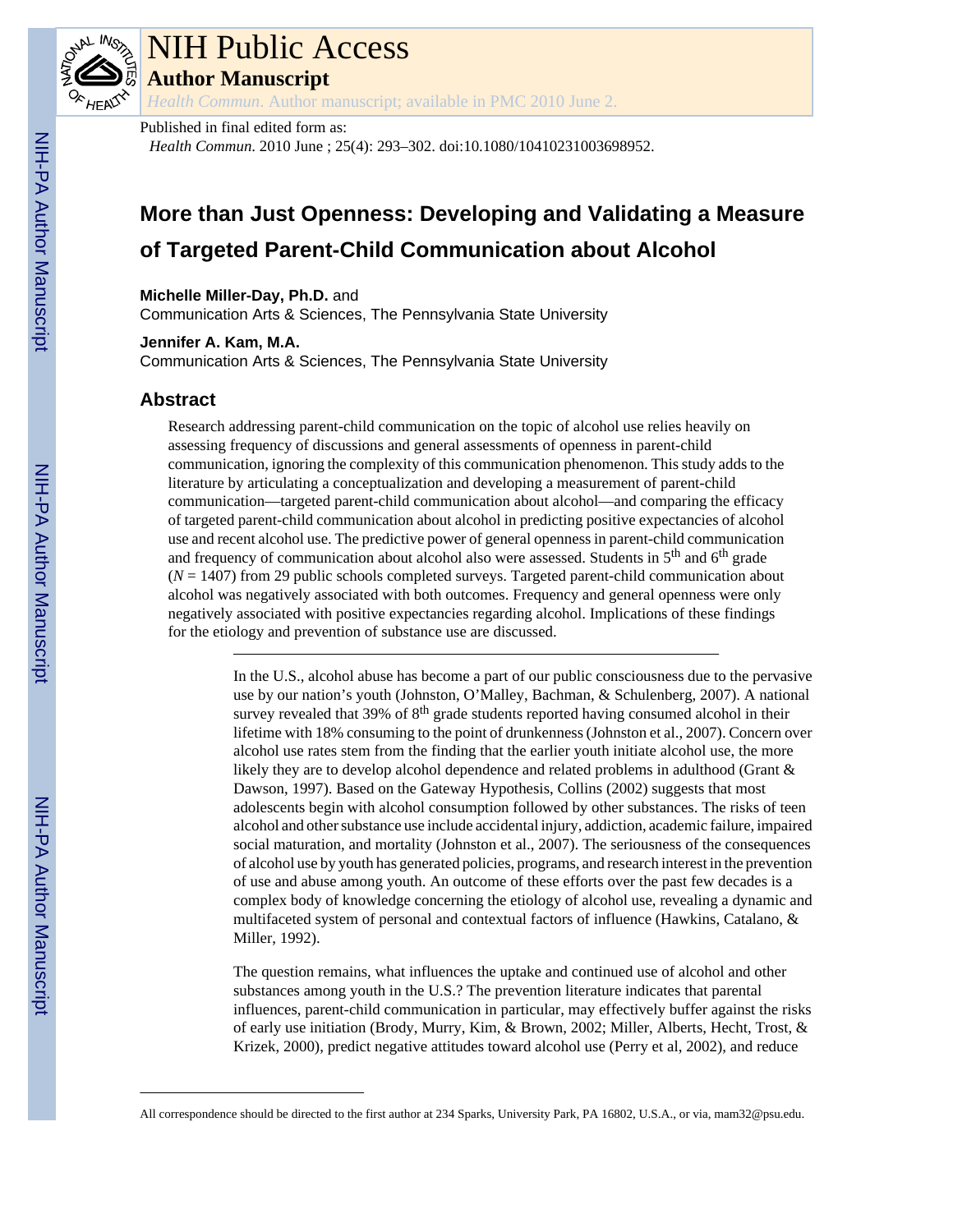

# NIH Public Access

**Author Manuscript**

*Health Commun*. Author manuscript; available in PMC 2010 June 2.

#### Published in final edited form as:

*Health Commun*. 2010 June ; 25(4): 293–302. doi:10.1080/10410231003698952.

## **More than Just Openness: Developing and Validating a Measure of Targeted Parent-Child Communication about Alcohol**

**Michelle Miller-Day, Ph.D.** and

Communication Arts & Sciences, The Pennsylvania State University

**Jennifer A. Kam, M.A.**

Communication Arts & Sciences, The Pennsylvania State University

#### **Abstract**

Research addressing parent-child communication on the topic of alcohol use relies heavily on assessing frequency of discussions and general assessments of openness in parent-child communication, ignoring the complexity of this communication phenomenon. This study adds to the literature by articulating a conceptualization and developing a measurement of parent-child communication—targeted parent-child communication about alcohol—and comparing the efficacy of targeted parent-child communication about alcohol in predicting positive expectancies of alcohol use and recent alcohol use. The predictive power of general openness in parent-child communication and frequency of communication about alcohol also were assessed. Students in  $5<sup>th</sup>$  and  $6<sup>th</sup>$  grade (*N* = 1407) from 29 public schools completed surveys. Targeted parent-child communication about alcohol was negatively associated with both outcomes. Frequency and general openness were only negatively associated with positive expectancies regarding alcohol. Implications of these findings for the etiology and prevention of substance use are discussed.

> In the U.S., alcohol abuse has become a part of our public consciousness due to the pervasive use by our nation's youth (Johnston, O'Malley, Bachman, & Schulenberg, 2007). A national survey revealed that  $39\%$  of  $8<sup>th</sup>$  grade students reported having consumed alcohol in their lifetime with 18% consuming to the point of drunkenness (Johnston et al., 2007). Concern over alcohol use rates stem from the finding that the earlier youth initiate alcohol use, the more likely they are to develop alcohol dependence and related problems in adulthood (Grant & Dawson, 1997). Based on the Gateway Hypothesis, Collins (2002) suggests that most adolescents begin with alcohol consumption followed by other substances. The risks of teen alcohol and other substance use include accidental injury, addiction, academic failure, impaired social maturation, and mortality (Johnston et al., 2007). The seriousness of the consequences of alcohol use by youth has generated policies, programs, and research interest in the prevention of use and abuse among youth. An outcome of these efforts over the past few decades is a complex body of knowledge concerning the etiology of alcohol use, revealing a dynamic and multifaceted system of personal and contextual factors of influence (Hawkins, Catalano, & Miller, 1992).

> The question remains, what influences the uptake and continued use of alcohol and other substances among youth in the U.S.? The prevention literature indicates that parental influences, parent-child communication in particular, may effectively buffer against the risks of early use initiation (Brody, Murry, Kim, & Brown, 2002; Miller, Alberts, Hecht, Trost, & Krizek, 2000), predict negative attitudes toward alcohol use (Perry et al, 2002), and reduce

All correspondence should be directed to the first author at 234 Sparks, University Park, PA 16802, U.S.A., or via, mam32@psu.edu.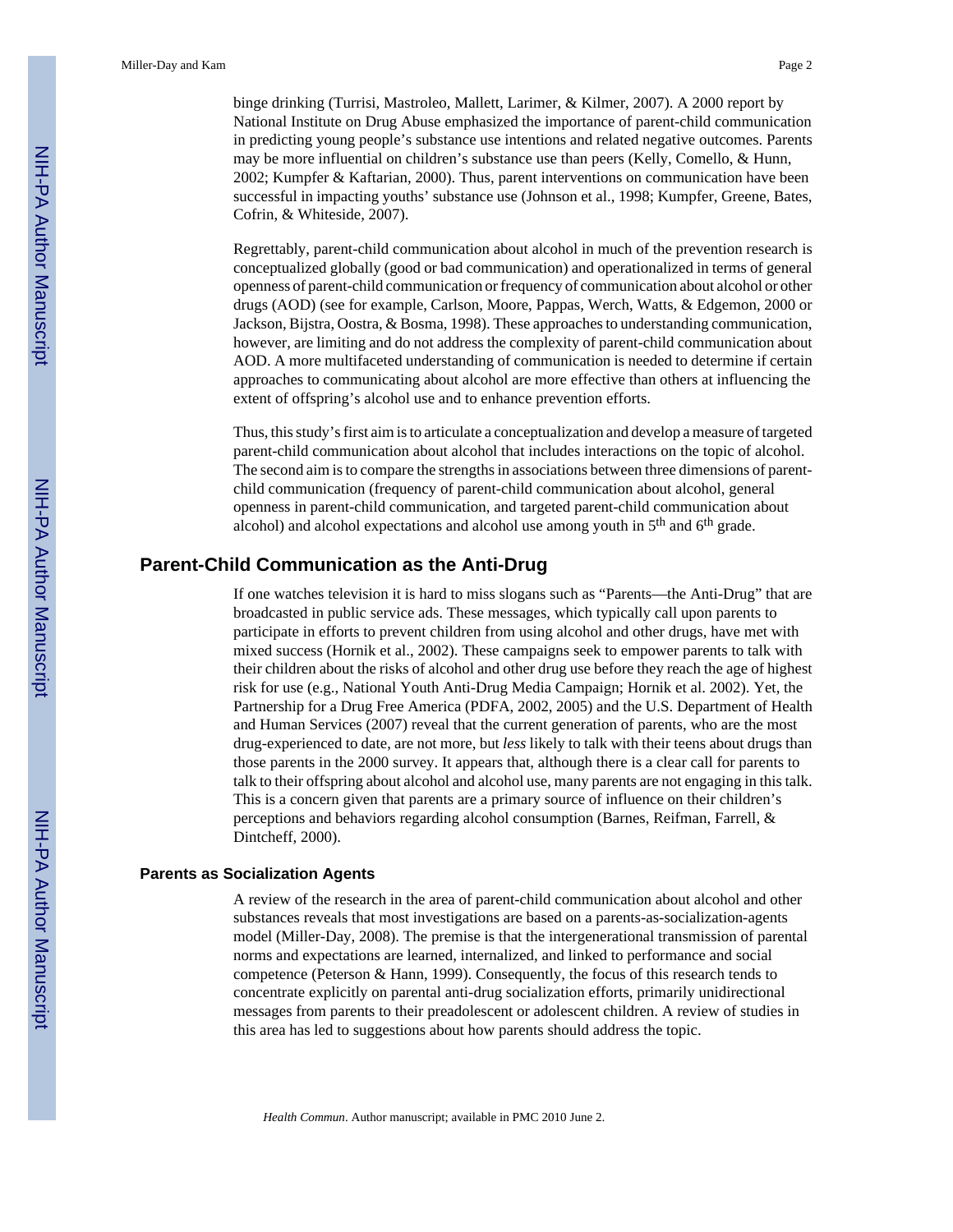binge drinking (Turrisi, Mastroleo, Mallett, Larimer, & Kilmer, 2007). A 2000 report by National Institute on Drug Abuse emphasized the importance of parent-child communication in predicting young people's substance use intentions and related negative outcomes. Parents may be more influential on children's substance use than peers (Kelly, Comello, & Hunn, 2002; Kumpfer & Kaftarian, 2000). Thus, parent interventions on communication have been successful in impacting youths' substance use (Johnson et al., 1998; Kumpfer, Greene, Bates, Cofrin, & Whiteside, 2007).

Regrettably, parent-child communication about alcohol in much of the prevention research is conceptualized globally (good or bad communication) and operationalized in terms of general openness of parent-child communication or frequency of communication about alcohol or other drugs (AOD) (see for example, Carlson, Moore, Pappas, Werch, Watts, & Edgemon, 2000 or Jackson, Bijstra, Oostra, & Bosma, 1998). These approaches to understanding communication, however, are limiting and do not address the complexity of parent-child communication about AOD. A more multifaceted understanding of communication is needed to determine if certain approaches to communicating about alcohol are more effective than others at influencing the extent of offspring's alcohol use and to enhance prevention efforts.

Thus, this study's first aim is to articulate a conceptualization and develop a measure of targeted parent-child communication about alcohol that includes interactions on the topic of alcohol. The second aim is to compare the strengths in associations between three dimensions of parentchild communication (frequency of parent-child communication about alcohol, general openness in parent-child communication, and targeted parent-child communication about alcohol) and alcohol expectations and alcohol use among youth in 5<sup>th</sup> and 6<sup>th</sup> grade.

#### **Parent-Child Communication as the Anti-Drug**

If one watches television it is hard to miss slogans such as "Parents—the Anti-Drug" that are broadcasted in public service ads. These messages, which typically call upon parents to participate in efforts to prevent children from using alcohol and other drugs, have met with mixed success (Hornik et al., 2002). These campaigns seek to empower parents to talk with their children about the risks of alcohol and other drug use before they reach the age of highest risk for use (e.g., National Youth Anti-Drug Media Campaign; Hornik et al. 2002). Yet, the Partnership for a Drug Free America (PDFA, 2002, 2005) and the U.S. Department of Health and Human Services (2007) reveal that the current generation of parents, who are the most drug-experienced to date, are not more, but *less* likely to talk with their teens about drugs than those parents in the 2000 survey. It appears that, although there is a clear call for parents to talk to their offspring about alcohol and alcohol use, many parents are not engaging in this talk. This is a concern given that parents are a primary source of influence on their children's perceptions and behaviors regarding alcohol consumption (Barnes, Reifman, Farrell, & Dintcheff, 2000).

#### **Parents as Socialization Agents**

A review of the research in the area of parent-child communication about alcohol and other substances reveals that most investigations are based on a parents-as-socialization-agents model (Miller-Day, 2008). The premise is that the intergenerational transmission of parental norms and expectations are learned, internalized, and linked to performance and social competence (Peterson & Hann, 1999). Consequently, the focus of this research tends to concentrate explicitly on parental anti-drug socialization efforts, primarily unidirectional messages from parents to their preadolescent or adolescent children. A review of studies in this area has led to suggestions about how parents should address the topic.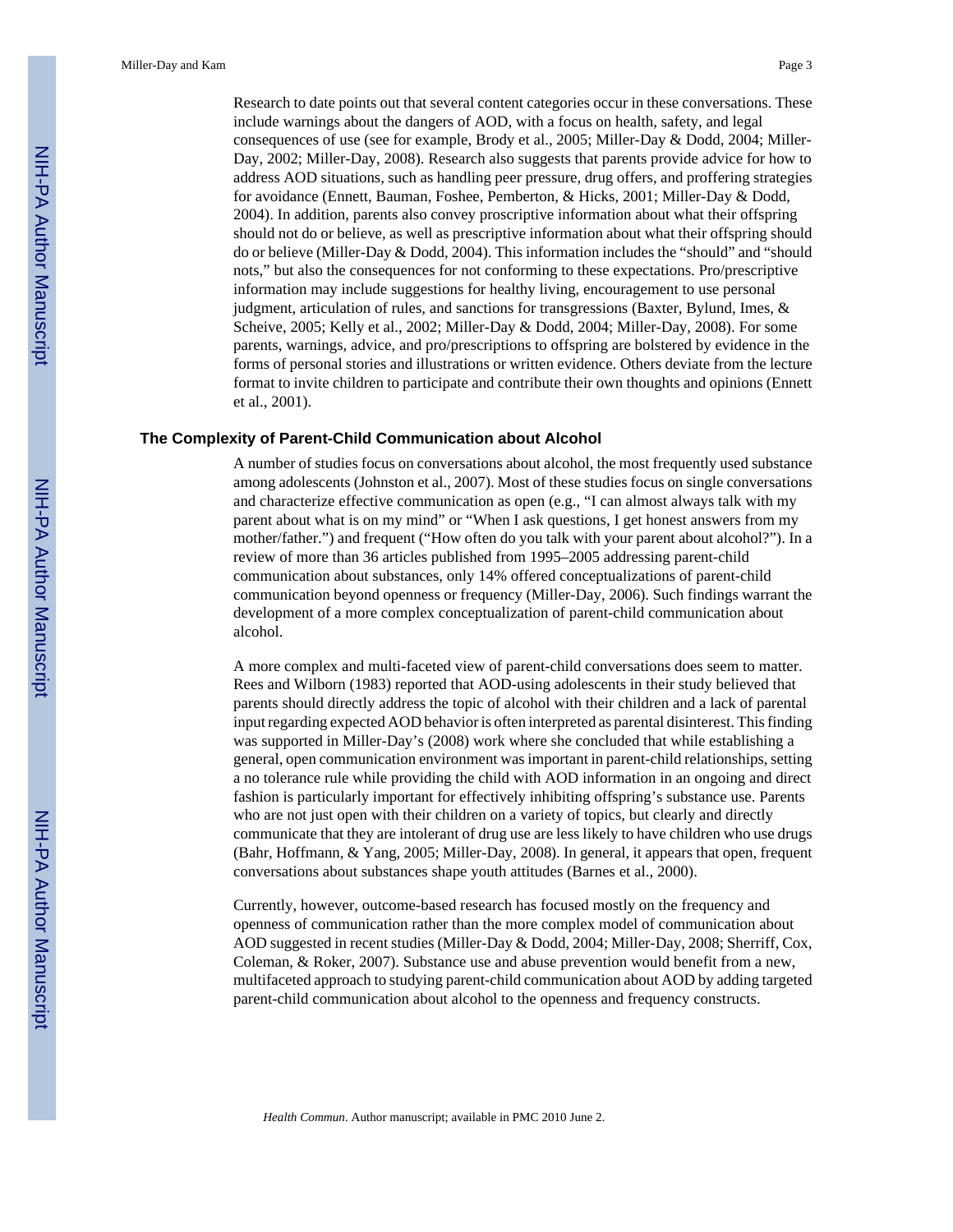Research to date points out that several content categories occur in these conversations. These include warnings about the dangers of AOD, with a focus on health, safety, and legal consequences of use (see for example, Brody et al., 2005; Miller-Day & Dodd, 2004; Miller-Day, 2002; Miller-Day, 2008). Research also suggests that parents provide advice for how to address AOD situations, such as handling peer pressure, drug offers, and proffering strategies for avoidance (Ennett, Bauman, Foshee, Pemberton, & Hicks, 2001; Miller-Day & Dodd, 2004). In addition, parents also convey proscriptive information about what their offspring should not do or believe, as well as prescriptive information about what their offspring should do or believe (Miller-Day & Dodd, 2004). This information includes the "should" and "should nots," but also the consequences for not conforming to these expectations. Pro/prescriptive information may include suggestions for healthy living, encouragement to use personal judgment, articulation of rules, and sanctions for transgressions (Baxter, Bylund, Imes, & Scheive, 2005; Kelly et al., 2002; Miller-Day & Dodd, 2004; Miller-Day, 2008). For some parents, warnings, advice, and pro/prescriptions to offspring are bolstered by evidence in the forms of personal stories and illustrations or written evidence. Others deviate from the lecture format to invite children to participate and contribute their own thoughts and opinions (Ennett et al., 2001).

#### **The Complexity of Parent-Child Communication about Alcohol**

A number of studies focus on conversations about alcohol, the most frequently used substance among adolescents (Johnston et al., 2007). Most of these studies focus on single conversations and characterize effective communication as open (e.g., "I can almost always talk with my parent about what is on my mind" or "When I ask questions, I get honest answers from my mother/father.") and frequent ("How often do you talk with your parent about alcohol?"). In a review of more than 36 articles published from 1995–2005 addressing parent-child communication about substances, only 14% offered conceptualizations of parent-child communication beyond openness or frequency (Miller-Day, 2006). Such findings warrant the development of a more complex conceptualization of parent-child communication about alcohol.

A more complex and multi-faceted view of parent-child conversations does seem to matter. Rees and Wilborn (1983) reported that AOD-using adolescents in their study believed that parents should directly address the topic of alcohol with their children and a lack of parental input regarding expected AOD behavior is often interpreted as parental disinterest. This finding was supported in Miller-Day's (2008) work where she concluded that while establishing a general, open communication environment was important in parent-child relationships, setting a no tolerance rule while providing the child with AOD information in an ongoing and direct fashion is particularly important for effectively inhibiting offspring's substance use. Parents who are not just open with their children on a variety of topics, but clearly and directly communicate that they are intolerant of drug use are less likely to have children who use drugs (Bahr, Hoffmann, & Yang, 2005; Miller-Day, 2008). In general, it appears that open, frequent conversations about substances shape youth attitudes (Barnes et al., 2000).

Currently, however, outcome-based research has focused mostly on the frequency and openness of communication rather than the more complex model of communication about AOD suggested in recent studies (Miller-Day & Dodd, 2004; Miller-Day, 2008; Sherriff, Cox, Coleman, & Roker, 2007). Substance use and abuse prevention would benefit from a new, multifaceted approach to studying parent-child communication about AOD by adding targeted parent-child communication about alcohol to the openness and frequency constructs.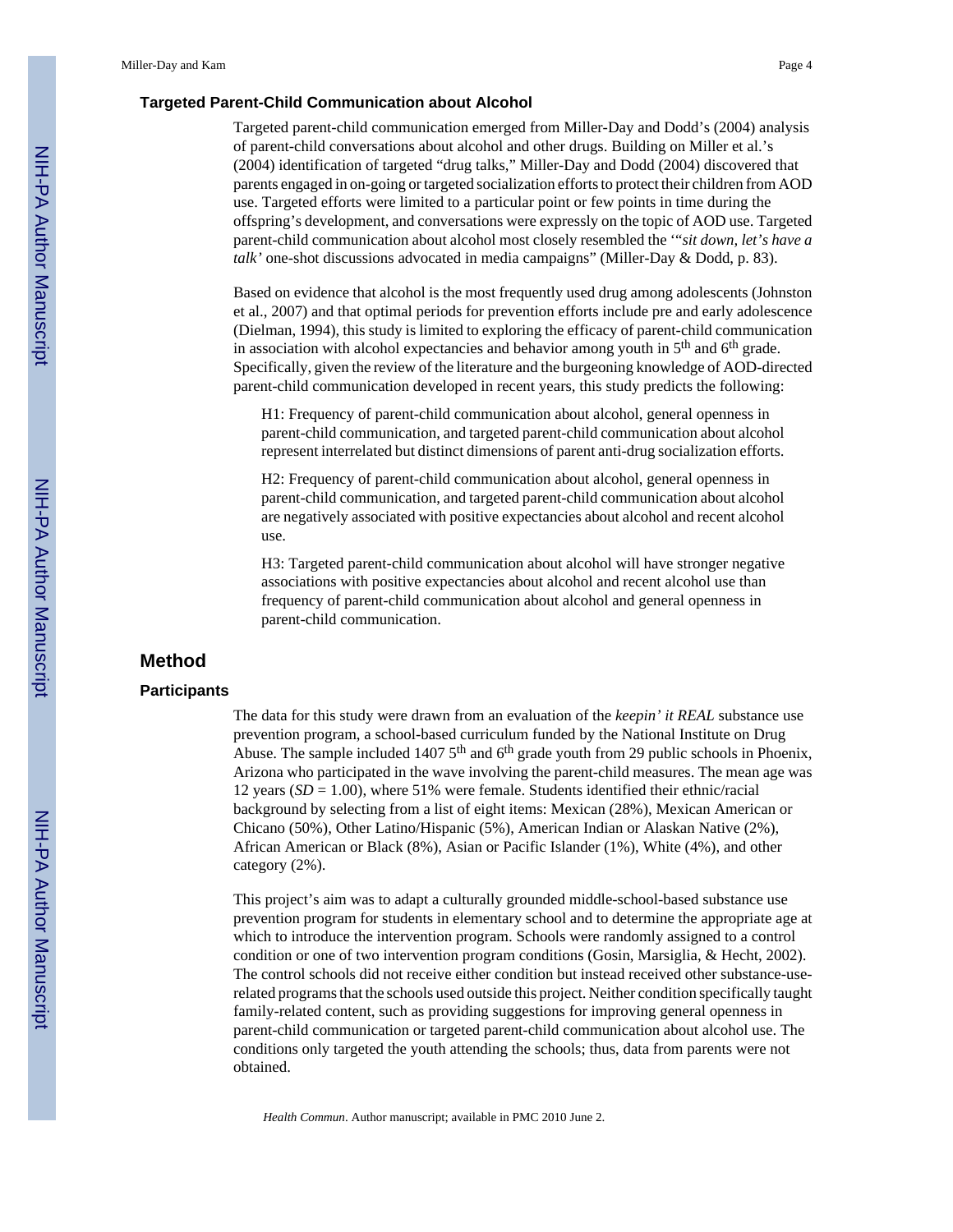#### **Targeted Parent-Child Communication about Alcohol**

Targeted parent-child communication emerged from Miller-Day and Dodd's (2004) analysis of parent-child conversations about alcohol and other drugs. Building on Miller et al.'s (2004) identification of targeted "drug talks," Miller-Day and Dodd (2004) discovered that parents engaged in on-going or targeted socialization efforts to protect their children from AOD use. Targeted efforts were limited to a particular point or few points in time during the offspring's development, and conversations were expressly on the topic of AOD use. Targeted parent-child communication about alcohol most closely resembled the '"*sit down, let's have a talk'* one-shot discussions advocated in media campaigns" (Miller-Day & Dodd, p. 83).

Based on evidence that alcohol is the most frequently used drug among adolescents (Johnston et al., 2007) and that optimal periods for prevention efforts include pre and early adolescence (Dielman, 1994), this study is limited to exploring the efficacy of parent-child communication in association with alcohol expectancies and behavior among youth in  $5<sup>th</sup>$  and  $6<sup>th</sup>$  grade. Specifically, given the review of the literature and the burgeoning knowledge of AOD-directed parent-child communication developed in recent years, this study predicts the following:

H1: Frequency of parent-child communication about alcohol, general openness in parent-child communication, and targeted parent-child communication about alcohol represent interrelated but distinct dimensions of parent anti-drug socialization efforts.

H2: Frequency of parent-child communication about alcohol, general openness in parent-child communication, and targeted parent-child communication about alcohol are negatively associated with positive expectancies about alcohol and recent alcohol use.

H3: Targeted parent-child communication about alcohol will have stronger negative associations with positive expectancies about alcohol and recent alcohol use than frequency of parent-child communication about alcohol and general openness in parent-child communication.

#### **Method**

#### **Participants**

The data for this study were drawn from an evaluation of the *keepin' it REAL* substance use prevention program, a school-based curriculum funded by the National Institute on Drug Abuse. The sample included 1407  $5<sup>th</sup>$  and  $6<sup>th</sup>$  grade youth from 29 public schools in Phoenix, Arizona who participated in the wave involving the parent-child measures. The mean age was 12 years (*SD* = 1.00), where 51% were female. Students identified their ethnic/racial background by selecting from a list of eight items: Mexican (28%), Mexican American or Chicano (50%), Other Latino/Hispanic (5%), American Indian or Alaskan Native (2%), African American or Black (8%), Asian or Pacific Islander (1%), White (4%), and other category (2%).

This project's aim was to adapt a culturally grounded middle-school-based substance use prevention program for students in elementary school and to determine the appropriate age at which to introduce the intervention program. Schools were randomly assigned to a control condition or one of two intervention program conditions (Gosin, Marsiglia, & Hecht, 2002). The control schools did not receive either condition but instead received other substance-userelated programs that the schools used outside this project. Neither condition specifically taught family-related content, such as providing suggestions for improving general openness in parent-child communication or targeted parent-child communication about alcohol use. The conditions only targeted the youth attending the schools; thus, data from parents were not obtained.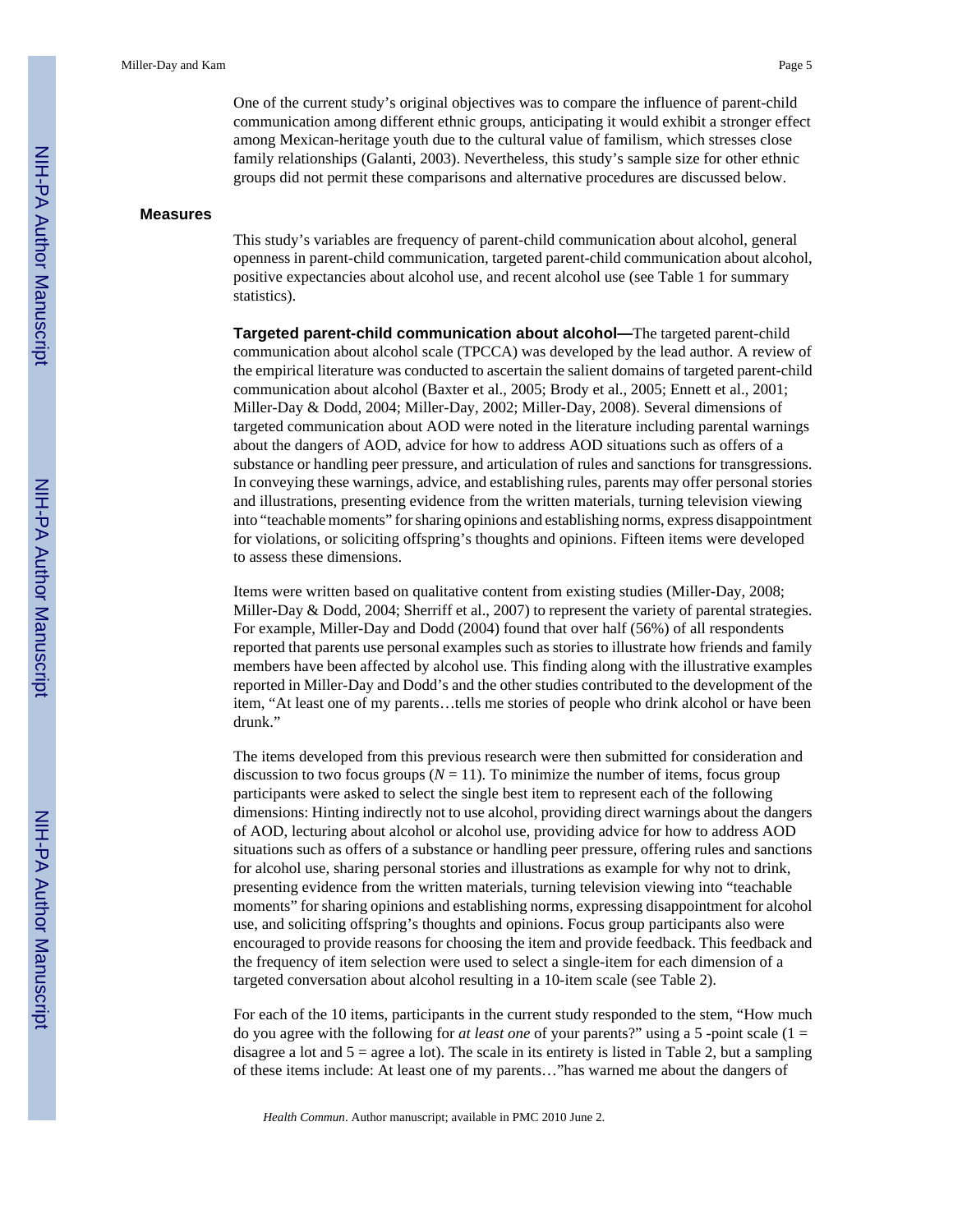One of the current study's original objectives was to compare the influence of parent-child communication among different ethnic groups, anticipating it would exhibit a stronger effect among Mexican-heritage youth due to the cultural value of familism, which stresses close family relationships (Galanti, 2003). Nevertheless, this study's sample size for other ethnic groups did not permit these comparisons and alternative procedures are discussed below.

#### **Measures**

This study's variables are frequency of parent-child communication about alcohol, general openness in parent-child communication, targeted parent-child communication about alcohol, positive expectancies about alcohol use, and recent alcohol use (see Table 1 for summary statistics).

**Targeted parent-child communication about alcohol—**The targeted parent-child communication about alcohol scale (TPCCA) was developed by the lead author. A review of the empirical literature was conducted to ascertain the salient domains of targeted parent-child communication about alcohol (Baxter et al., 2005; Brody et al., 2005; Ennett et al., 2001; Miller-Day & Dodd, 2004; Miller-Day, 2002; Miller-Day, 2008). Several dimensions of targeted communication about AOD were noted in the literature including parental warnings about the dangers of AOD, advice for how to address AOD situations such as offers of a substance or handling peer pressure, and articulation of rules and sanctions for transgressions. In conveying these warnings, advice, and establishing rules, parents may offer personal stories and illustrations, presenting evidence from the written materials, turning television viewing into "teachable moments" for sharing opinions and establishing norms, express disappointment for violations, or soliciting offspring's thoughts and opinions. Fifteen items were developed to assess these dimensions.

Items were written based on qualitative content from existing studies (Miller-Day, 2008; Miller-Day & Dodd, 2004; Sherriff et al., 2007) to represent the variety of parental strategies. For example, Miller-Day and Dodd (2004) found that over half (56%) of all respondents reported that parents use personal examples such as stories to illustrate how friends and family members have been affected by alcohol use. This finding along with the illustrative examples reported in Miller-Day and Dodd's and the other studies contributed to the development of the item, "At least one of my parents…tells me stories of people who drink alcohol or have been drunk."

The items developed from this previous research were then submitted for consideration and discussion to two focus groups ( $N = 11$ ). To minimize the number of items, focus group participants were asked to select the single best item to represent each of the following dimensions: Hinting indirectly not to use alcohol, providing direct warnings about the dangers of AOD, lecturing about alcohol or alcohol use, providing advice for how to address AOD situations such as offers of a substance or handling peer pressure, offering rules and sanctions for alcohol use, sharing personal stories and illustrations as example for why not to drink, presenting evidence from the written materials, turning television viewing into "teachable moments" for sharing opinions and establishing norms, expressing disappointment for alcohol use, and soliciting offspring's thoughts and opinions. Focus group participants also were encouraged to provide reasons for choosing the item and provide feedback. This feedback and the frequency of item selection were used to select a single-item for each dimension of a targeted conversation about alcohol resulting in a 10-item scale (see Table 2).

For each of the 10 items, participants in the current study responded to the stem, "How much do you agree with the following for *at least one* of your parents?" using a 5 -point scale (1 = disagree a lot and  $5 =$  agree a lot). The scale in its entirety is listed in Table 2, but a sampling of these items include: At least one of my parents…"has warned me about the dangers of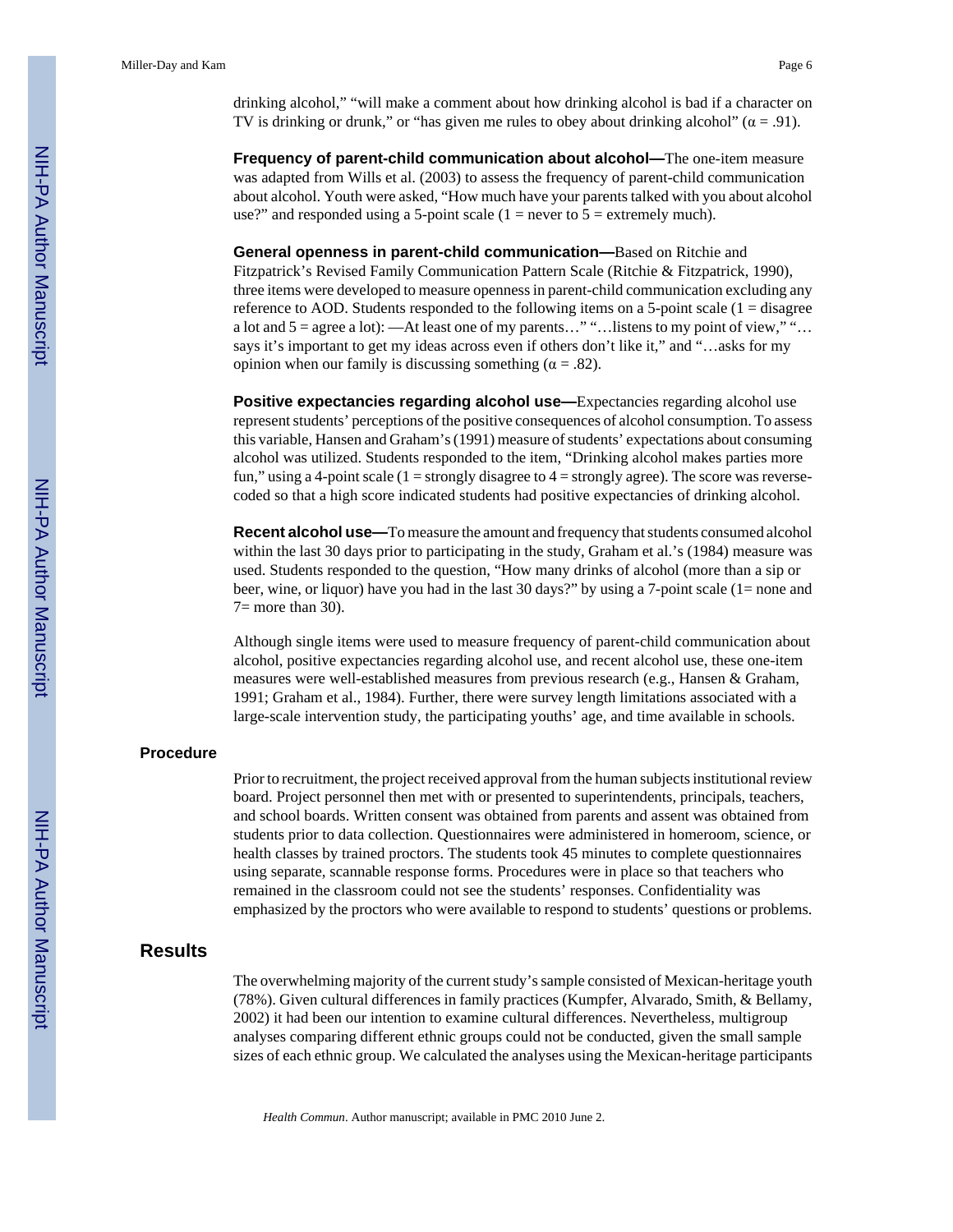drinking alcohol," "will make a comment about how drinking alcohol is bad if a character on TV is drinking or drunk," or "has given me rules to obey about drinking alcohol" ( $\alpha = .91$ ).

**Frequency of parent-child communication about alcohol—**The one-item measure was adapted from Wills et al. (2003) to assess the frequency of parent-child communication about alcohol. Youth were asked, "How much have your parents talked with you about alcohol use?" and responded using a 5-point scale  $(1 =$  never to  $5 =$  extremely much).

**General openness in parent-child communication—**Based on Ritchie and Fitzpatrick's Revised Family Communication Pattern Scale (Ritchie & Fitzpatrick, 1990), three items were developed to measure openness in parent-child communication excluding any reference to AOD. Students responded to the following items on a 5-point scale (1 = disagree a lot and 5 = agree a lot): —At least one of my parents…" "…listens to my point of view," "… says it's important to get my ideas across even if others don't like it," and "…asks for my opinion when our family is discussing something ( $\alpha = .82$ ).

**Positive expectancies regarding alcohol use—**Expectancies regarding alcohol use represent students' perceptions of the positive consequences of alcohol consumption. To assess this variable, Hansen and Graham's (1991) measure of students' expectations about consuming alcohol was utilized. Students responded to the item, "Drinking alcohol makes parties more fun," using a 4-point scale  $(1 =$  strongly disagree to  $4 =$  strongly agree). The score was reversecoded so that a high score indicated students had positive expectancies of drinking alcohol.

**Recent alcohol use—**To measure the amount and frequency that students consumed alcohol within the last 30 days prior to participating in the study, Graham et al.'s (1984) measure was used. Students responded to the question, "How many drinks of alcohol (more than a sip or beer, wine, or liquor) have you had in the last 30 days?" by using a 7-point scale (1= none and  $7=$  more than 30).

Although single items were used to measure frequency of parent-child communication about alcohol, positive expectancies regarding alcohol use, and recent alcohol use, these one-item measures were well-established measures from previous research (e.g., Hansen & Graham, 1991; Graham et al., 1984). Further, there were survey length limitations associated with a large-scale intervention study, the participating youths' age, and time available in schools.

#### **Procedure**

Prior to recruitment, the project received approval from the human subjects institutional review board. Project personnel then met with or presented to superintendents, principals, teachers, and school boards. Written consent was obtained from parents and assent was obtained from students prior to data collection. Questionnaires were administered in homeroom, science, or health classes by trained proctors. The students took 45 minutes to complete questionnaires using separate, scannable response forms. Procedures were in place so that teachers who remained in the classroom could not see the students' responses. Confidentiality was emphasized by the proctors who were available to respond to students' questions or problems.

#### **Results**

The overwhelming majority of the current study's sample consisted of Mexican-heritage youth (78%). Given cultural differences in family practices (Kumpfer, Alvarado, Smith, & Bellamy, 2002) it had been our intention to examine cultural differences. Nevertheless, multigroup analyses comparing different ethnic groups could not be conducted, given the small sample sizes of each ethnic group. We calculated the analyses using the Mexican-heritage participants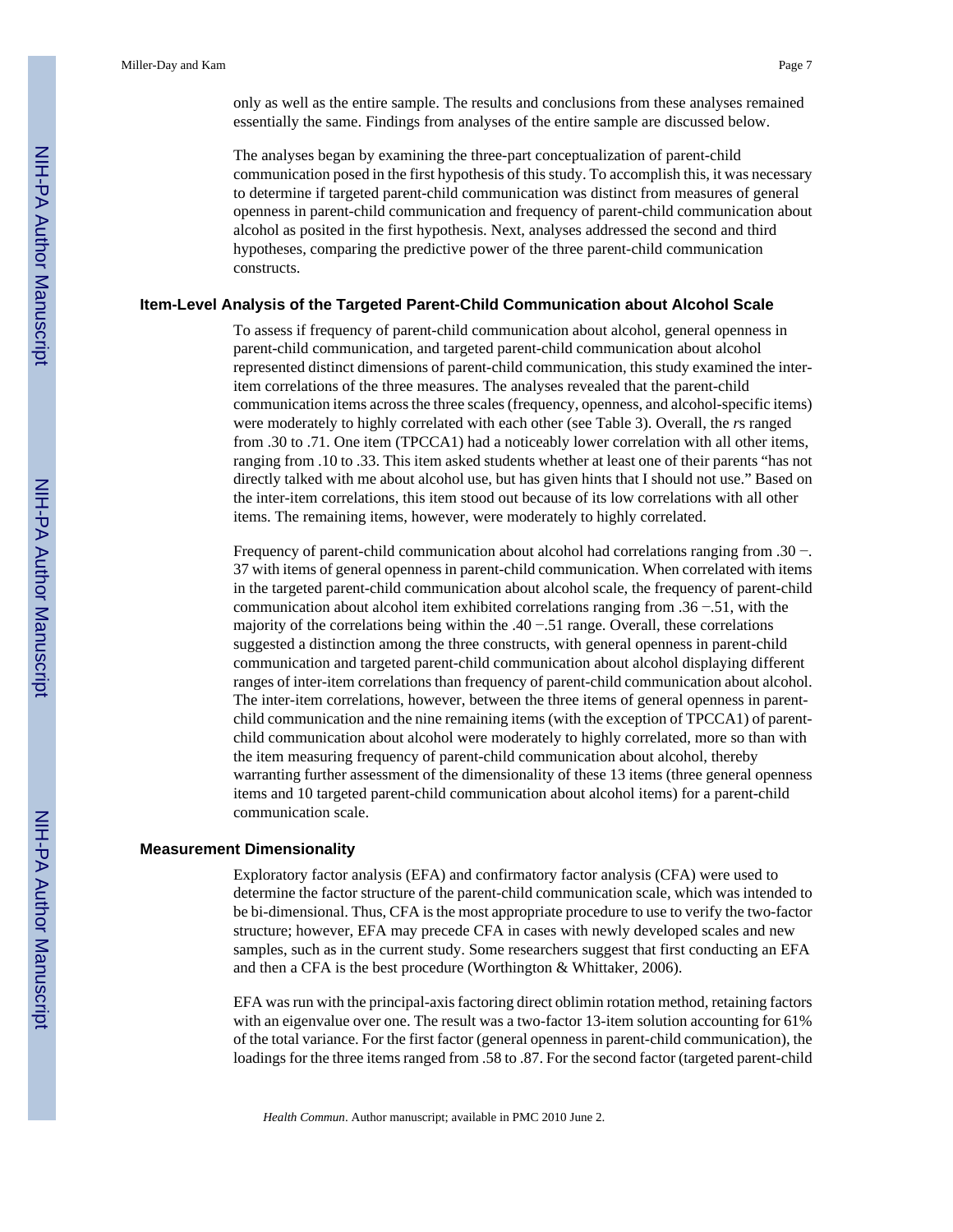only as well as the entire sample. The results and conclusions from these analyses remained essentially the same. Findings from analyses of the entire sample are discussed below.

The analyses began by examining the three-part conceptualization of parent-child communication posed in the first hypothesis of this study. To accomplish this, it was necessary to determine if targeted parent-child communication was distinct from measures of general openness in parent-child communication and frequency of parent-child communication about alcohol as posited in the first hypothesis. Next, analyses addressed the second and third hypotheses, comparing the predictive power of the three parent-child communication constructs.

#### **Item-Level Analysis of the Targeted Parent-Child Communication about Alcohol Scale**

To assess if frequency of parent-child communication about alcohol, general openness in parent-child communication, and targeted parent-child communication about alcohol represented distinct dimensions of parent-child communication, this study examined the interitem correlations of the three measures. The analyses revealed that the parent-child communication items across the three scales (frequency, openness, and alcohol-specific items) were moderately to highly correlated with each other (see Table 3). Overall, the *r*s ranged from .30 to .71. One item (TPCCA1) had a noticeably lower correlation with all other items, ranging from .10 to .33. This item asked students whether at least one of their parents "has not directly talked with me about alcohol use, but has given hints that I should not use." Based on the inter-item correlations, this item stood out because of its low correlations with all other items. The remaining items, however, were moderately to highly correlated.

Frequency of parent-child communication about alcohol had correlations ranging from .30 −. 37 with items of general openness in parent-child communication. When correlated with items in the targeted parent-child communication about alcohol scale, the frequency of parent-child communication about alcohol item exhibited correlations ranging from .36 −.51, with the majority of the correlations being within the .40 −.51 range. Overall, these correlations suggested a distinction among the three constructs, with general openness in parent-child communication and targeted parent-child communication about alcohol displaying different ranges of inter-item correlations than frequency of parent-child communication about alcohol. The inter-item correlations, however, between the three items of general openness in parentchild communication and the nine remaining items (with the exception of TPCCA1) of parentchild communication about alcohol were moderately to highly correlated, more so than with the item measuring frequency of parent-child communication about alcohol, thereby warranting further assessment of the dimensionality of these 13 items (three general openness items and 10 targeted parent-child communication about alcohol items) for a parent-child communication scale.

#### **Measurement Dimensionality**

Exploratory factor analysis (EFA) and confirmatory factor analysis (CFA) were used to determine the factor structure of the parent-child communication scale, which was intended to be bi-dimensional. Thus, CFA is the most appropriate procedure to use to verify the two-factor structure; however, EFA may precede CFA in cases with newly developed scales and new samples, such as in the current study. Some researchers suggest that first conducting an EFA and then a CFA is the best procedure (Worthington & Whittaker, 2006).

EFA was run with the principal-axis factoring direct oblimin rotation method, retaining factors with an eigenvalue over one. The result was a two-factor 13-item solution accounting for 61% of the total variance. For the first factor (general openness in parent-child communication), the loadings for the three items ranged from .58 to .87. For the second factor (targeted parent-child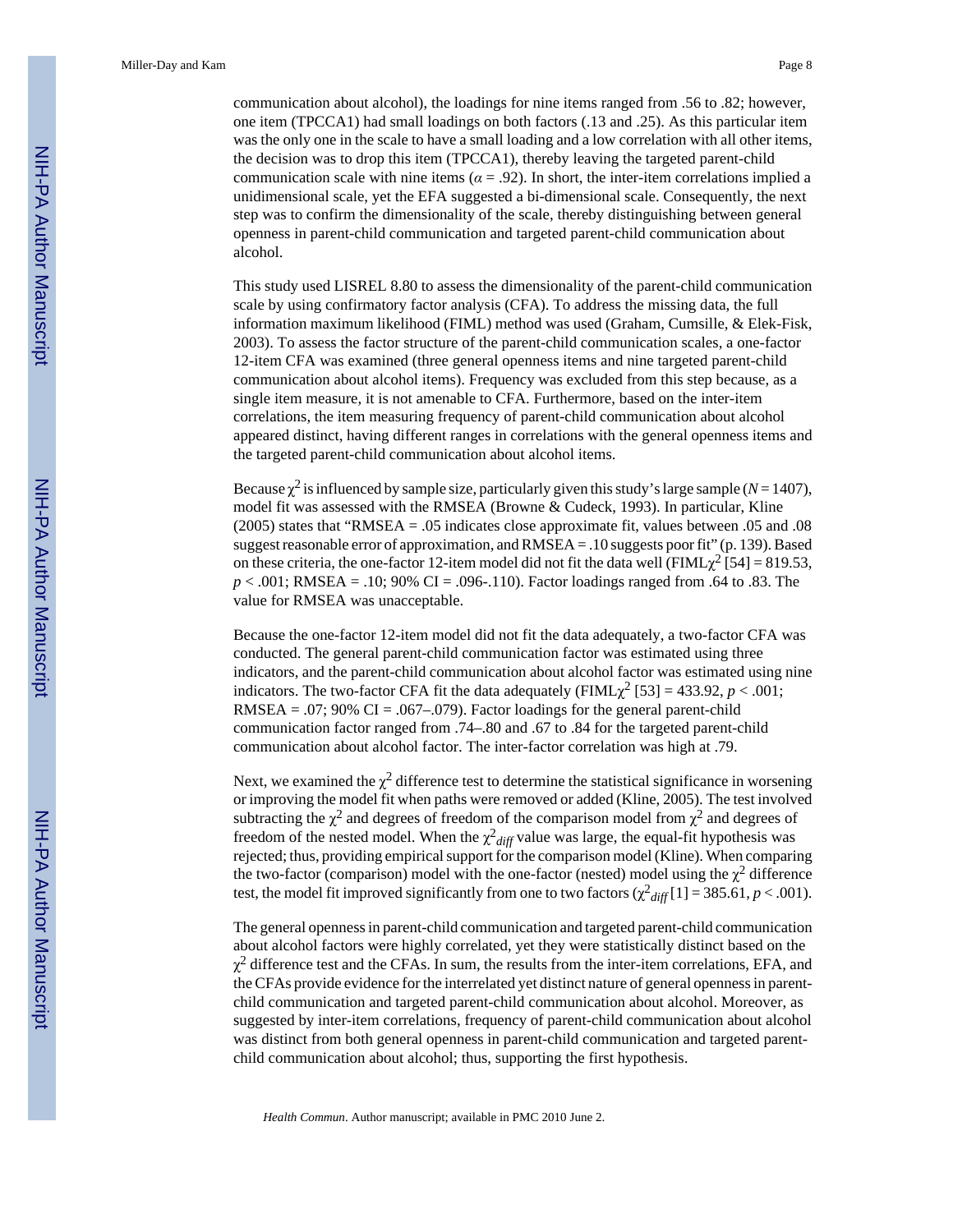communication about alcohol), the loadings for nine items ranged from .56 to .82; however, one item (TPCCA1) had small loadings on both factors (.13 and .25). As this particular item was the only one in the scale to have a small loading and a low correlation with all other items, the decision was to drop this item (TPCCA1), thereby leaving the targeted parent-child communication scale with nine items ( $\alpha$  = .92). In short, the inter-item correlations implied a unidimensional scale, yet the EFA suggested a bi-dimensional scale. Consequently, the next step was to confirm the dimensionality of the scale, thereby distinguishing between general openness in parent-child communication and targeted parent-child communication about alcohol.

This study used LISREL 8.80 to assess the dimensionality of the parent-child communication scale by using confirmatory factor analysis (CFA). To address the missing data, the full information maximum likelihood (FIML) method was used (Graham, Cumsille, & Elek-Fisk, 2003). To assess the factor structure of the parent-child communication scales, a one-factor 12-item CFA was examined (three general openness items and nine targeted parent-child communication about alcohol items). Frequency was excluded from this step because, as a single item measure, it is not amenable to CFA. Furthermore, based on the inter-item correlations, the item measuring frequency of parent-child communication about alcohol appeared distinct, having different ranges in correlations with the general openness items and the targeted parent-child communication about alcohol items.

Because  $\chi^2$  is influenced by sample size, particularly given this study's large sample (*N* = 1407), model fit was assessed with the RMSEA (Browne & Cudeck, 1993). In particular, Kline (2005) states that "RMSEA = .05 indicates close approximate fit, values between .05 and .08 suggest reasonable error of approximation, and RMSEA = .10 suggests poor fit" (p. 139). Based on these criteria, the one-factor 12-item model did not fit the data well ( $\text{FIML}\chi^2$  [54] = 819.53, *p* < .001; RMSEA = .10; 90% CI = .096-.110). Factor loadings ranged from .64 to .83. The value for RMSEA was unacceptable.

Because the one-factor 12-item model did not fit the data adequately, a two-factor CFA was conducted. The general parent-child communication factor was estimated using three indicators, and the parent-child communication about alcohol factor was estimated using nine indicators. The two-factor CFA fit the data adequately ( $\text{FIML}\chi^2$  [53] = 433.92, *p* < .001; RMSEA = .07; 90% CI = .067–.079). Factor loadings for the general parent-child communication factor ranged from .74–.80 and .67 to .84 for the targeted parent-child communication about alcohol factor. The inter-factor correlation was high at .79.

Next, we examined the  $\chi^2$  difference test to determine the statistical significance in worsening or improving the model fit when paths were removed or added (Kline, 2005). The test involved subtracting the  $\chi^2$  and degrees of freedom of the comparison model from  $\chi^2$  and degrees of freedom of the nested model. When the  $\chi^2$ <sub>diff</sub> value was large, the equal-fit hypothesis was rejected; thus, providing empirical support for the comparison model (Kline). When comparing the two-factor (comparison) model with the one-factor (nested) model using the  $\chi^2$  difference test, the model fit improved significantly from one to two factors  $(\chi^2_{diff}[1] = 385.61, p < .001)$ .

The general openness in parent-child communication and targeted parent-child communication about alcohol factors were highly correlated, yet they were statistically distinct based on the  $\chi^2$  difference test and the CFAs. In sum, the results from the inter-item correlations, EFA, and the CFAs provide evidence for the interrelated yet distinct nature of general openness in parentchild communication and targeted parent-child communication about alcohol. Moreover, as suggested by inter-item correlations, frequency of parent-child communication about alcohol was distinct from both general openness in parent-child communication and targeted parentchild communication about alcohol; thus, supporting the first hypothesis.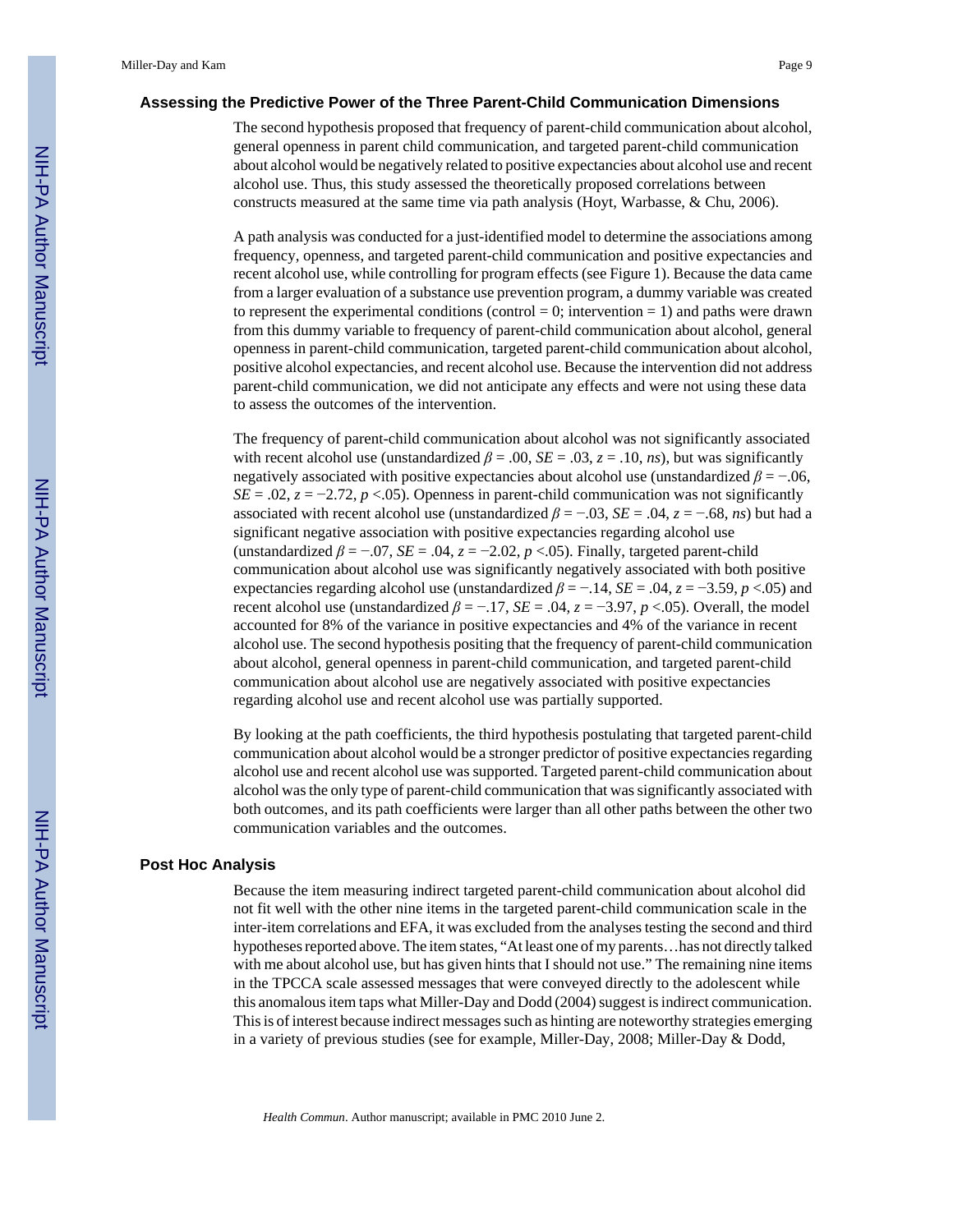#### **Assessing the Predictive Power of the Three Parent-Child Communication Dimensions**

The second hypothesis proposed that frequency of parent-child communication about alcohol, general openness in parent child communication, and targeted parent-child communication about alcohol would be negatively related to positive expectancies about alcohol use and recent alcohol use. Thus, this study assessed the theoretically proposed correlations between constructs measured at the same time via path analysis (Hoyt, Warbasse, & Chu, 2006).

A path analysis was conducted for a just-identified model to determine the associations among frequency, openness, and targeted parent-child communication and positive expectancies and recent alcohol use, while controlling for program effects (see Figure 1). Because the data came from a larger evaluation of a substance use prevention program, a dummy variable was created to represent the experimental conditions (control  $= 0$ ; intervention  $= 1$ ) and paths were drawn from this dummy variable to frequency of parent-child communication about alcohol, general openness in parent-child communication, targeted parent-child communication about alcohol, positive alcohol expectancies, and recent alcohol use. Because the intervention did not address parent-child communication, we did not anticipate any effects and were not using these data to assess the outcomes of the intervention.

The frequency of parent-child communication about alcohol was not significantly associated with recent alcohol use (unstandardized  $\beta$  = .00, *SE* = .03, *z* = .10, *ns*), but was significantly negatively associated with positive expectancies about alcohol use (unstandardized  $\beta = -0.06$ , *SE* = .02,  $z = -2.72$ ,  $p < .05$ ). Openness in parent-child communication was not significantly associated with recent alcohol use (unstandardized  $\beta = -0.03$ ,  $SE = 0.04$ ,  $z = -0.68$ , *ns*) but had a significant negative association with positive expectancies regarding alcohol use (unstandardized  $\beta = -0.07$ ,  $SE = 0.04$ ,  $z = -2.02$ ,  $p < 0.05$ ). Finally, targeted parent-child communication about alcohol use was significantly negatively associated with both positive expectancies regarding alcohol use (unstandardized  $\beta = -0.14$ ,  $SE = 0.04$ ,  $z = -3.59$ ,  $p < 0.05$ ) and recent alcohol use (unstandardized  $\beta = -0.17$ ,  $SE = 0.04$ ,  $z = -3.97$ ,  $p < 0.05$ ). Overall, the model accounted for 8% of the variance in positive expectancies and 4% of the variance in recent alcohol use. The second hypothesis positing that the frequency of parent-child communication about alcohol, general openness in parent-child communication, and targeted parent-child communication about alcohol use are negatively associated with positive expectancies regarding alcohol use and recent alcohol use was partially supported.

By looking at the path coefficients, the third hypothesis postulating that targeted parent-child communication about alcohol would be a stronger predictor of positive expectancies regarding alcohol use and recent alcohol use was supported. Targeted parent-child communication about alcohol was the only type of parent-child communication that was significantly associated with both outcomes, and its path coefficients were larger than all other paths between the other two communication variables and the outcomes.

#### **Post Hoc Analysis**

Because the item measuring indirect targeted parent-child communication about alcohol did not fit well with the other nine items in the targeted parent-child communication scale in the inter-item correlations and EFA, it was excluded from the analyses testing the second and third hypotheses reported above. The item states, "At least one of my parents…has not directly talked with me about alcohol use, but has given hints that I should not use." The remaining nine items in the TPCCA scale assessed messages that were conveyed directly to the adolescent while this anomalous item taps what Miller-Day and Dodd (2004) suggest is indirect communication. This is of interest because indirect messages such as hinting are noteworthy strategies emerging in a variety of previous studies (see for example, Miller-Day, 2008; Miller-Day & Dodd,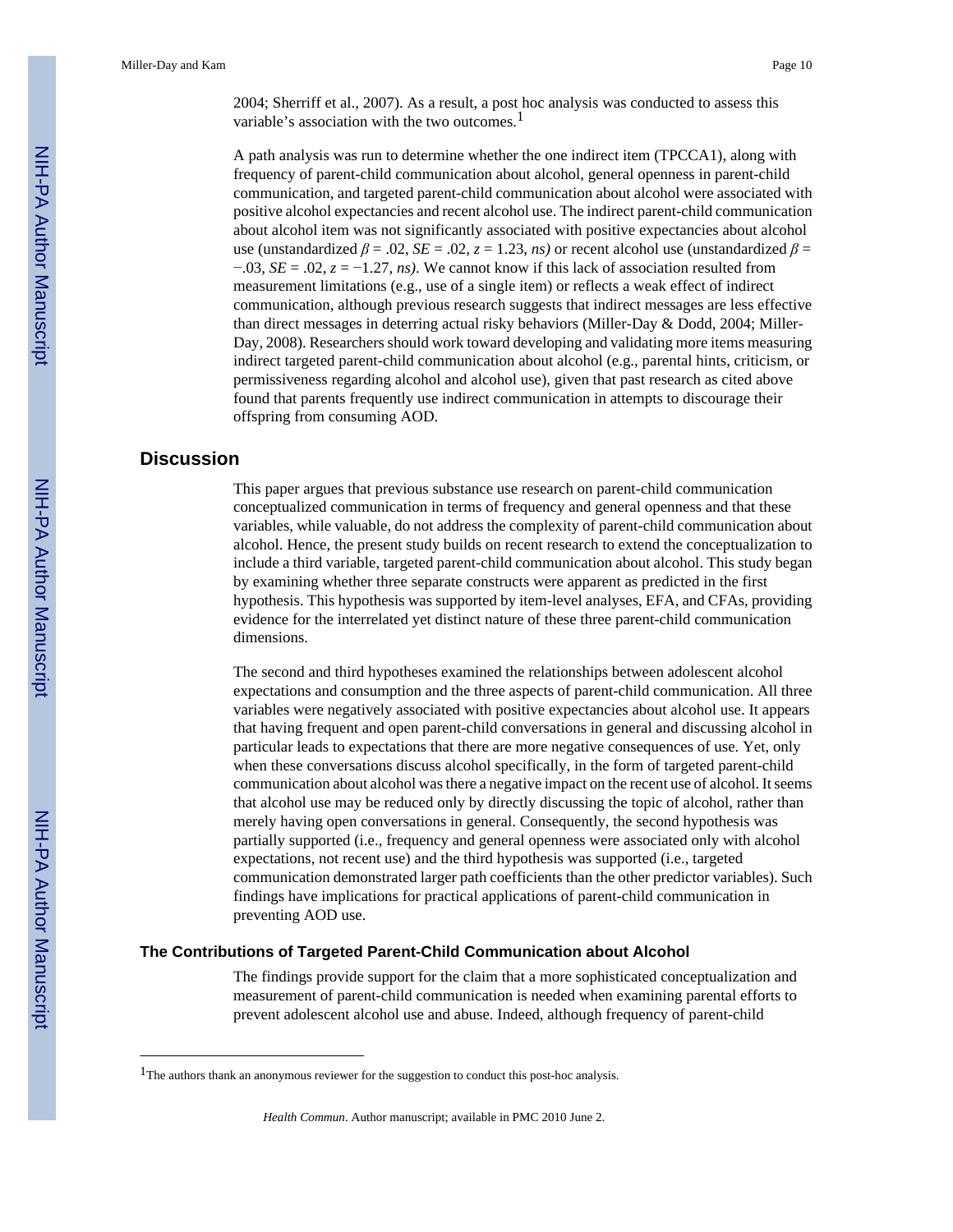Miller-Day and Kam Page 10

2004; Sherriff et al., 2007). As a result, a post hoc analysis was conducted to assess this variable's association with the two outcomes.<sup>1</sup>

A path analysis was run to determine whether the one indirect item (TPCCA1), along with frequency of parent-child communication about alcohol, general openness in parent-child communication, and targeted parent-child communication about alcohol were associated with positive alcohol expectancies and recent alcohol use. The indirect parent-child communication about alcohol item was not significantly associated with positive expectancies about alcohol use (unstandardized  $\beta$  = .02, *SE* = .02, *z* = 1.23, *ns*) or recent alcohol use (unstandardized  $\beta$  = −.03, *SE* = .02, *z* = −1.27, *ns)*. We cannot know if this lack of association resulted from measurement limitations (e.g., use of a single item) or reflects a weak effect of indirect communication, although previous research suggests that indirect messages are less effective than direct messages in deterring actual risky behaviors (Miller-Day & Dodd, 2004; Miller-Day, 2008). Researchers should work toward developing and validating more items measuring indirect targeted parent-child communication about alcohol (e.g., parental hints, criticism, or permissiveness regarding alcohol and alcohol use), given that past research as cited above found that parents frequently use indirect communication in attempts to discourage their offspring from consuming AOD.

#### **Discussion**

This paper argues that previous substance use research on parent-child communication conceptualized communication in terms of frequency and general openness and that these variables, while valuable, do not address the complexity of parent-child communication about alcohol. Hence, the present study builds on recent research to extend the conceptualization to include a third variable, targeted parent-child communication about alcohol. This study began by examining whether three separate constructs were apparent as predicted in the first hypothesis. This hypothesis was supported by item-level analyses, EFA, and CFAs, providing evidence for the interrelated yet distinct nature of these three parent-child communication dimensions.

The second and third hypotheses examined the relationships between adolescent alcohol expectations and consumption and the three aspects of parent-child communication. All three variables were negatively associated with positive expectancies about alcohol use. It appears that having frequent and open parent-child conversations in general and discussing alcohol in particular leads to expectations that there are more negative consequences of use. Yet, only when these conversations discuss alcohol specifically, in the form of targeted parent-child communication about alcohol was there a negative impact on the recent use of alcohol. It seems that alcohol use may be reduced only by directly discussing the topic of alcohol, rather than merely having open conversations in general. Consequently, the second hypothesis was partially supported (i.e., frequency and general openness were associated only with alcohol expectations, not recent use) and the third hypothesis was supported (i.e., targeted communication demonstrated larger path coefficients than the other predictor variables). Such findings have implications for practical applications of parent-child communication in preventing AOD use.

#### **The Contributions of Targeted Parent-Child Communication about Alcohol**

The findings provide support for the claim that a more sophisticated conceptualization and measurement of parent-child communication is needed when examining parental efforts to prevent adolescent alcohol use and abuse. Indeed, although frequency of parent-child

<sup>&</sup>lt;sup>1</sup>The authors thank an anonymous reviewer for the suggestion to conduct this post-hoc analysis.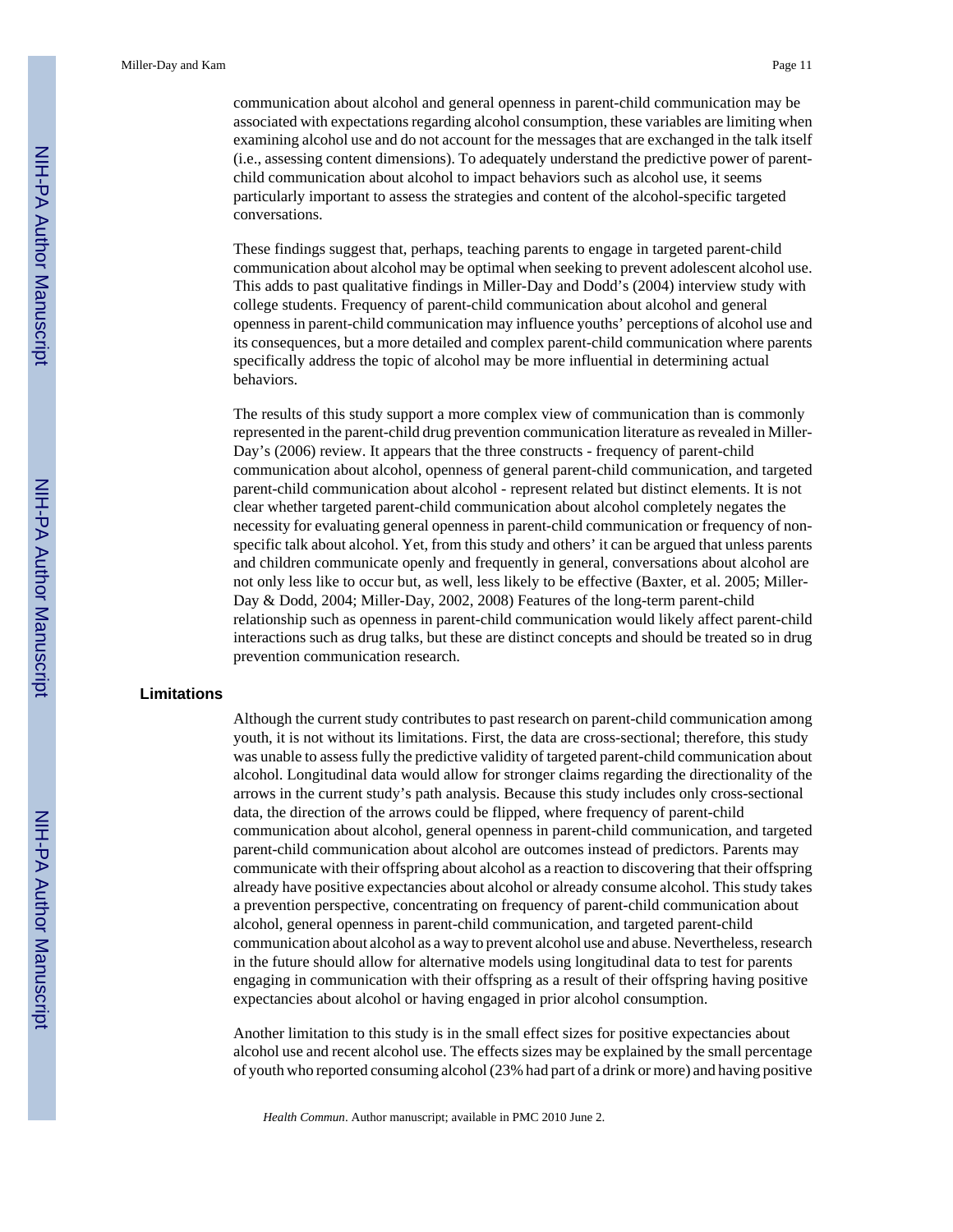communication about alcohol and general openness in parent-child communication may be associated with expectations regarding alcohol consumption, these variables are limiting when examining alcohol use and do not account for the messages that are exchanged in the talk itself (i.e., assessing content dimensions). To adequately understand the predictive power of parentchild communication about alcohol to impact behaviors such as alcohol use, it seems particularly important to assess the strategies and content of the alcohol-specific targeted conversations.

These findings suggest that, perhaps, teaching parents to engage in targeted parent-child communication about alcohol may be optimal when seeking to prevent adolescent alcohol use. This adds to past qualitative findings in Miller-Day and Dodd's (2004) interview study with college students. Frequency of parent-child communication about alcohol and general openness in parent-child communication may influence youths' perceptions of alcohol use and its consequences, but a more detailed and complex parent-child communication where parents specifically address the topic of alcohol may be more influential in determining actual behaviors.

The results of this study support a more complex view of communication than is commonly represented in the parent-child drug prevention communication literature as revealed in Miller-Day's (2006) review. It appears that the three constructs - frequency of parent-child communication about alcohol, openness of general parent-child communication, and targeted parent-child communication about alcohol - represent related but distinct elements. It is not clear whether targeted parent-child communication about alcohol completely negates the necessity for evaluating general openness in parent-child communication or frequency of nonspecific talk about alcohol. Yet, from this study and others' it can be argued that unless parents and children communicate openly and frequently in general, conversations about alcohol are not only less like to occur but, as well, less likely to be effective (Baxter, et al. 2005; Miller-Day & Dodd, 2004; Miller-Day, 2002, 2008) Features of the long-term parent-child relationship such as openness in parent-child communication would likely affect parent-child interactions such as drug talks, but these are distinct concepts and should be treated so in drug prevention communication research.

#### **Limitations**

Although the current study contributes to past research on parent-child communication among youth, it is not without its limitations. First, the data are cross-sectional; therefore, this study was unable to assess fully the predictive validity of targeted parent-child communication about alcohol. Longitudinal data would allow for stronger claims regarding the directionality of the arrows in the current study's path analysis. Because this study includes only cross-sectional data, the direction of the arrows could be flipped, where frequency of parent-child communication about alcohol, general openness in parent-child communication, and targeted parent-child communication about alcohol are outcomes instead of predictors. Parents may communicate with their offspring about alcohol as a reaction to discovering that their offspring already have positive expectancies about alcohol or already consume alcohol. This study takes a prevention perspective, concentrating on frequency of parent-child communication about alcohol, general openness in parent-child communication, and targeted parent-child communication about alcohol as a way to prevent alcohol use and abuse. Nevertheless, research in the future should allow for alternative models using longitudinal data to test for parents engaging in communication with their offspring as a result of their offspring having positive expectancies about alcohol or having engaged in prior alcohol consumption.

Another limitation to this study is in the small effect sizes for positive expectancies about alcohol use and recent alcohol use. The effects sizes may be explained by the small percentage of youth who reported consuming alcohol (23% had part of a drink or more) and having positive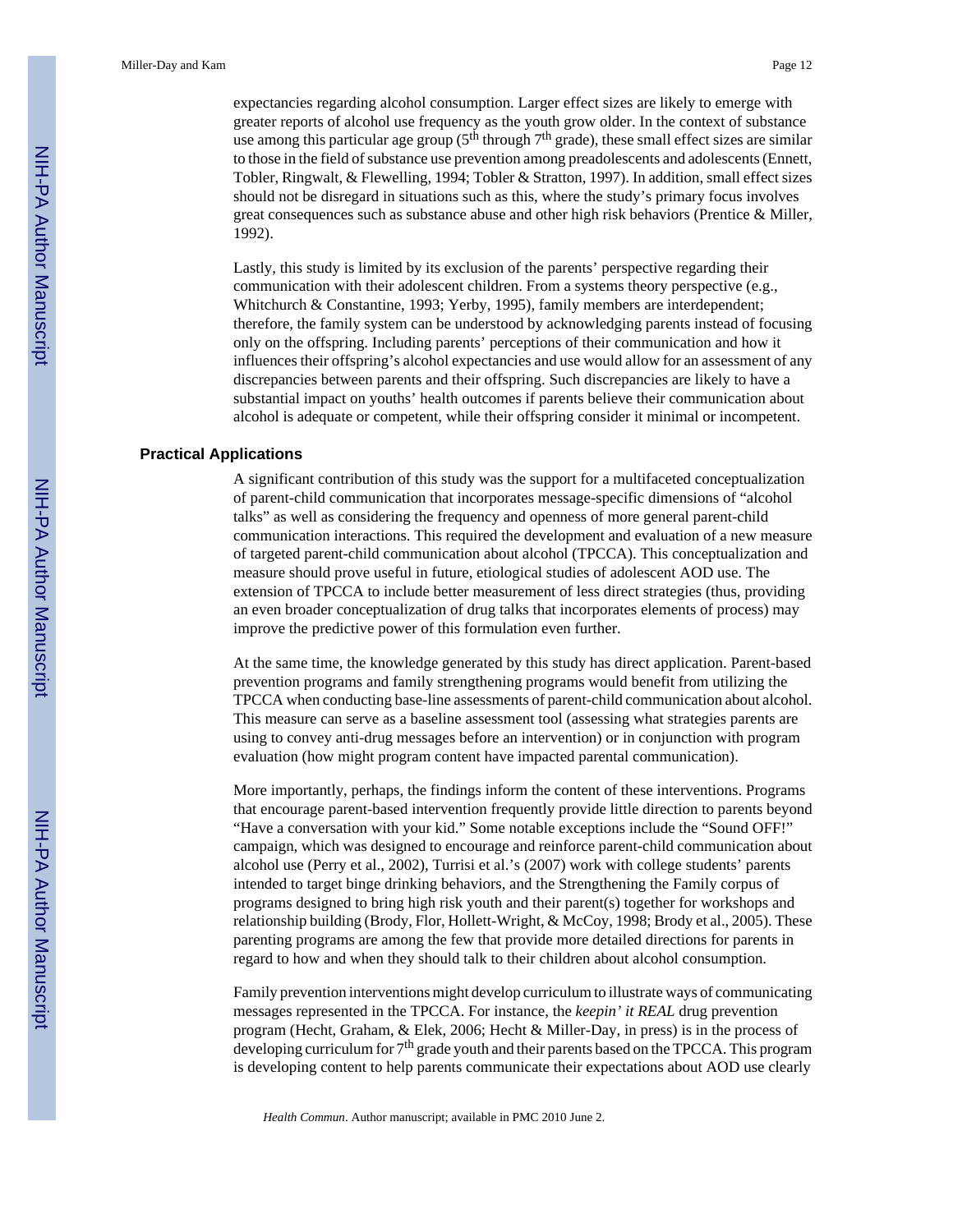expectancies regarding alcohol consumption. Larger effect sizes are likely to emerge with greater reports of alcohol use frequency as the youth grow older. In the context of substance use among this particular age group ( $5<sup>th</sup>$  through  $7<sup>th</sup>$  grade), these small effect sizes are similar to those in the field of substance use prevention among preadolescents and adolescents (Ennett, Tobler, Ringwalt, & Flewelling, 1994; Tobler & Stratton, 1997). In addition, small effect sizes should not be disregard in situations such as this, where the study's primary focus involves great consequences such as substance abuse and other high risk behaviors (Prentice & Miller, 1992).

Lastly, this study is limited by its exclusion of the parents' perspective regarding their communication with their adolescent children. From a systems theory perspective (e.g., Whitchurch & Constantine, 1993; Yerby, 1995), family members are interdependent; therefore, the family system can be understood by acknowledging parents instead of focusing only on the offspring. Including parents' perceptions of their communication and how it influences their offspring's alcohol expectancies and use would allow for an assessment of any discrepancies between parents and their offspring. Such discrepancies are likely to have a substantial impact on youths' health outcomes if parents believe their communication about alcohol is adequate or competent, while their offspring consider it minimal or incompetent.

#### **Practical Applications**

A significant contribution of this study was the support for a multifaceted conceptualization of parent-child communication that incorporates message-specific dimensions of "alcohol talks" as well as considering the frequency and openness of more general parent-child communication interactions. This required the development and evaluation of a new measure of targeted parent-child communication about alcohol (TPCCA). This conceptualization and measure should prove useful in future, etiological studies of adolescent AOD use. The extension of TPCCA to include better measurement of less direct strategies (thus, providing an even broader conceptualization of drug talks that incorporates elements of process) may improve the predictive power of this formulation even further.

At the same time, the knowledge generated by this study has direct application. Parent-based prevention programs and family strengthening programs would benefit from utilizing the TPCCA when conducting base-line assessments of parent-child communication about alcohol. This measure can serve as a baseline assessment tool (assessing what strategies parents are using to convey anti-drug messages before an intervention) or in conjunction with program evaluation (how might program content have impacted parental communication).

More importantly, perhaps, the findings inform the content of these interventions. Programs that encourage parent-based intervention frequently provide little direction to parents beyond "Have a conversation with your kid." Some notable exceptions include the "Sound OFF!" campaign, which was designed to encourage and reinforce parent-child communication about alcohol use (Perry et al., 2002), Turrisi et al.'s (2007) work with college students' parents intended to target binge drinking behaviors, and the Strengthening the Family corpus of programs designed to bring high risk youth and their parent(s) together for workshops and relationship building (Brody, Flor, Hollett-Wright, & McCoy, 1998; Brody et al., 2005). These parenting programs are among the few that provide more detailed directions for parents in regard to how and when they should talk to their children about alcohol consumption.

Family prevention interventions might develop curriculum to illustrate ways of communicating messages represented in the TPCCA. For instance, the *keepin' it REAL* drug prevention program (Hecht, Graham, & Elek, 2006; Hecht & Miller-Day, in press) is in the process of developing curriculum for  $7<sup>th</sup>$  grade youth and their parents based on the TPCCA. This program is developing content to help parents communicate their expectations about AOD use clearly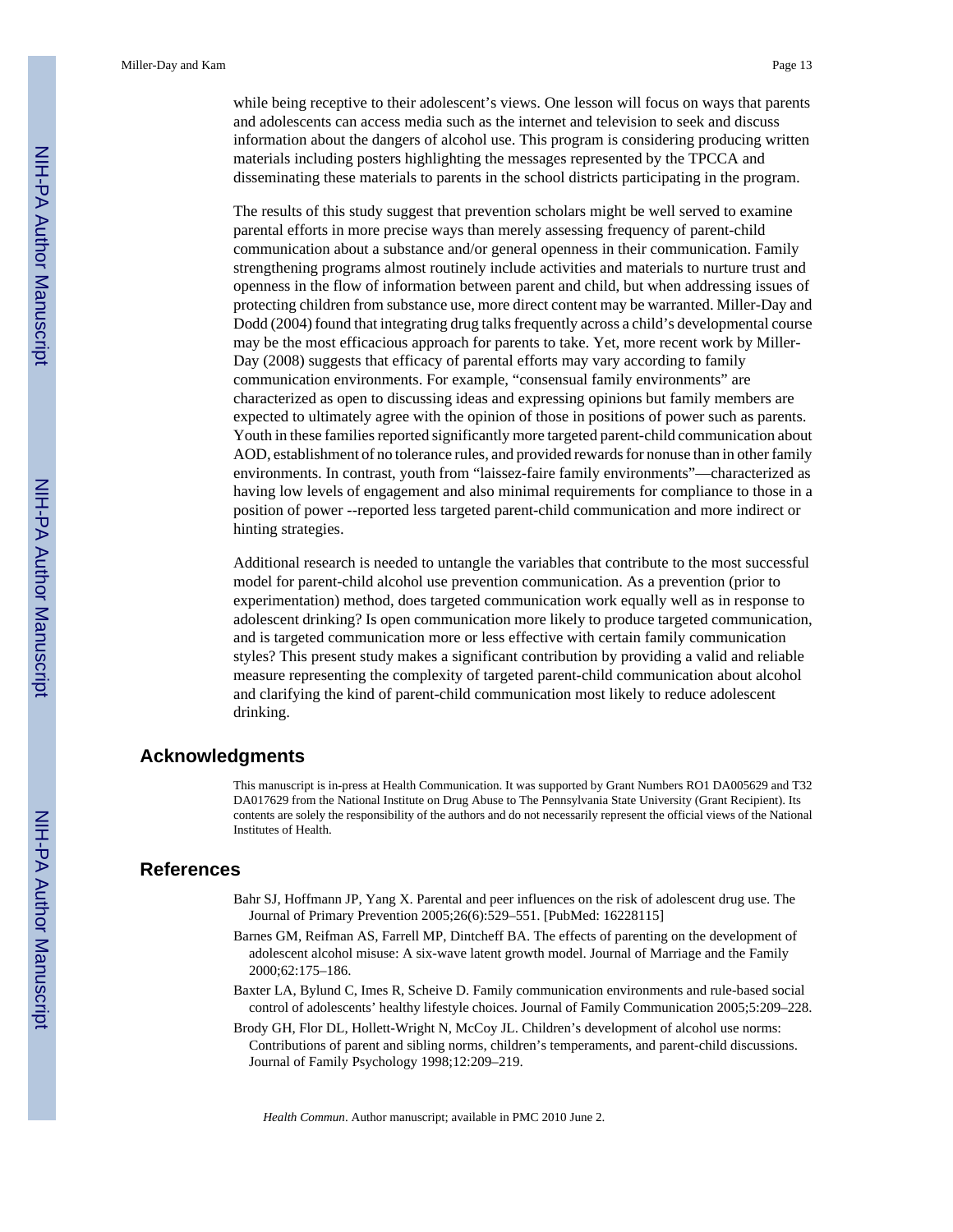while being receptive to their adolescent's views. One lesson will focus on ways that parents and adolescents can access media such as the internet and television to seek and discuss information about the dangers of alcohol use. This program is considering producing written materials including posters highlighting the messages represented by the TPCCA and disseminating these materials to parents in the school districts participating in the program.

The results of this study suggest that prevention scholars might be well served to examine parental efforts in more precise ways than merely assessing frequency of parent-child communication about a substance and/or general openness in their communication. Family strengthening programs almost routinely include activities and materials to nurture trust and openness in the flow of information between parent and child, but when addressing issues of protecting children from substance use, more direct content may be warranted. Miller-Day and Dodd (2004) found that integrating drug talks frequently across a child's developmental course may be the most efficacious approach for parents to take. Yet, more recent work by Miller-Day (2008) suggests that efficacy of parental efforts may vary according to family communication environments. For example, "consensual family environments" are characterized as open to discussing ideas and expressing opinions but family members are expected to ultimately agree with the opinion of those in positions of power such as parents. Youth in these families reported significantly more targeted parent-child communication about AOD, establishment of no tolerance rules, and provided rewards for nonuse than in other family environments. In contrast, youth from "laissez-faire family environments"—characterized as having low levels of engagement and also minimal requirements for compliance to those in a position of power --reported less targeted parent-child communication and more indirect or hinting strategies.

Additional research is needed to untangle the variables that contribute to the most successful model for parent-child alcohol use prevention communication. As a prevention (prior to experimentation) method, does targeted communication work equally well as in response to adolescent drinking? Is open communication more likely to produce targeted communication, and is targeted communication more or less effective with certain family communication styles? This present study makes a significant contribution by providing a valid and reliable measure representing the complexity of targeted parent-child communication about alcohol and clarifying the kind of parent-child communication most likely to reduce adolescent drinking.

#### **Acknowledgments**

This manuscript is in-press at Health Communication. It was supported by Grant Numbers RO1 DA005629 and T32 DA017629 from the National Institute on Drug Abuse to The Pennsylvania State University (Grant Recipient). Its contents are solely the responsibility of the authors and do not necessarily represent the official views of the National Institutes of Health.

#### **References**

- Bahr SJ, Hoffmann JP, Yang X. Parental and peer influences on the risk of adolescent drug use. The Journal of Primary Prevention 2005;26(6):529–551. [PubMed: 16228115]
- Barnes GM, Reifman AS, Farrell MP, Dintcheff BA. The effects of parenting on the development of adolescent alcohol misuse: A six-wave latent growth model. Journal of Marriage and the Family 2000;62:175–186.
- Baxter LA, Bylund C, Imes R, Scheive D. Family communication environments and rule-based social control of adolescents' healthy lifestyle choices. Journal of Family Communication 2005;5:209–228.
- Brody GH, Flor DL, Hollett-Wright N, McCoy JL. Children's development of alcohol use norms: Contributions of parent and sibling norms, children's temperaments, and parent-child discussions. Journal of Family Psychology 1998;12:209–219.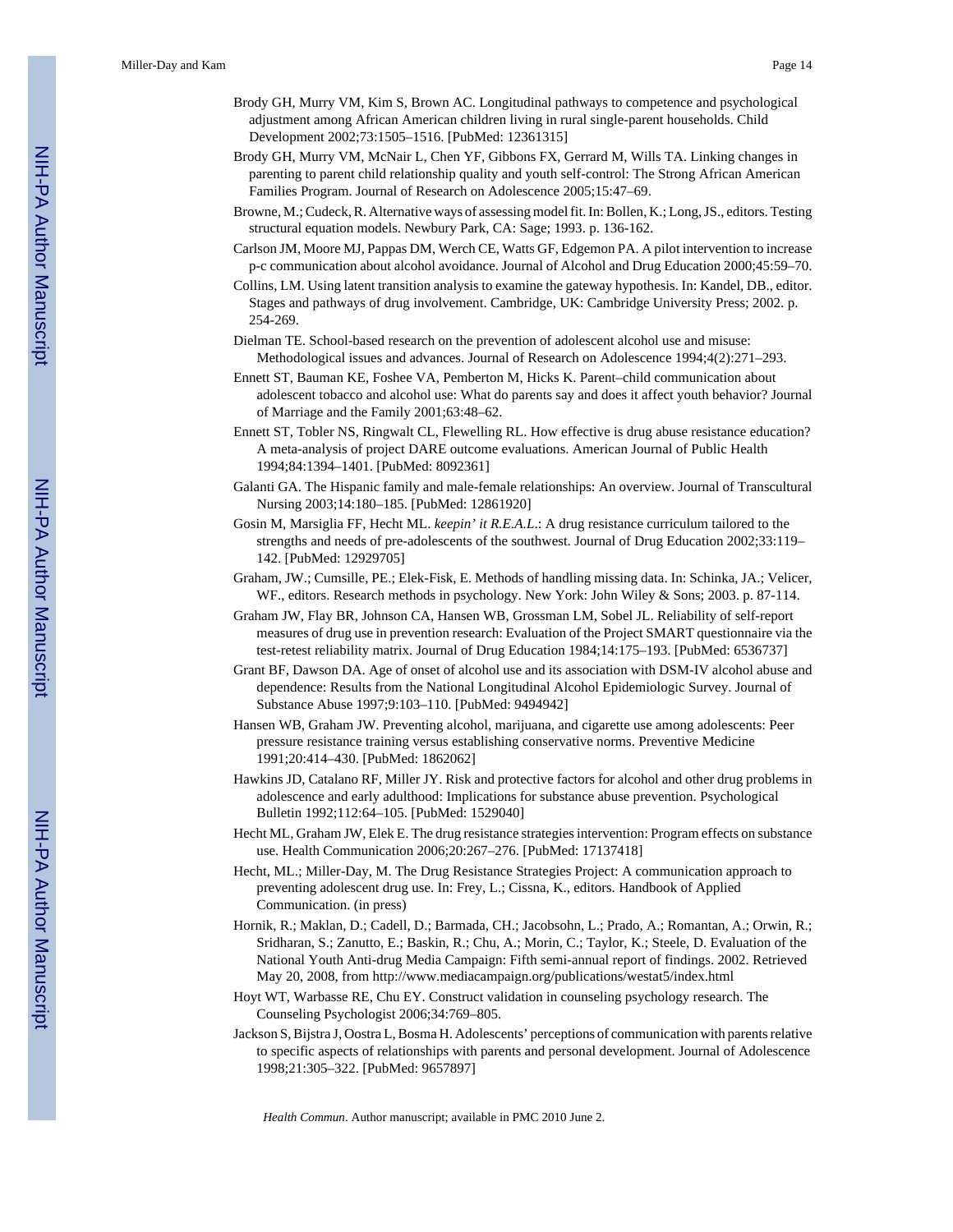- Brody GH, Murry VM, Kim S, Brown AC. Longitudinal pathways to competence and psychological adjustment among African American children living in rural single-parent households. Child Development 2002;73:1505–1516. [PubMed: 12361315]
- Brody GH, Murry VM, McNair L, Chen YF, Gibbons FX, Gerrard M, Wills TA. Linking changes in parenting to parent child relationship quality and youth self-control: The Strong African American Families Program. Journal of Research on Adolescence 2005;15:47–69.
- Browne, M.; Cudeck, R. Alternative ways of assessing model fit. In: Bollen, K.; Long, JS., editors. Testing structural equation models. Newbury Park, CA: Sage; 1993. p. 136-162.
- Carlson JM, Moore MJ, Pappas DM, Werch CE, Watts GF, Edgemon PA. A pilot intervention to increase p-c communication about alcohol avoidance. Journal of Alcohol and Drug Education 2000;45:59–70.
- Collins, LM. Using latent transition analysis to examine the gateway hypothesis. In: Kandel, DB., editor. Stages and pathways of drug involvement. Cambridge, UK: Cambridge University Press; 2002. p. 254-269.
- Dielman TE. School-based research on the prevention of adolescent alcohol use and misuse: Methodological issues and advances. Journal of Research on Adolescence 1994;4(2):271–293.
- Ennett ST, Bauman KE, Foshee VA, Pemberton M, Hicks K. Parent–child communication about adolescent tobacco and alcohol use: What do parents say and does it affect youth behavior? Journal of Marriage and the Family 2001;63:48–62.
- Ennett ST, Tobler NS, Ringwalt CL, Flewelling RL. How effective is drug abuse resistance education? A meta-analysis of project DARE outcome evaluations. American Journal of Public Health 1994;84:1394–1401. [PubMed: 8092361]
- Galanti GA. The Hispanic family and male-female relationships: An overview. Journal of Transcultural Nursing 2003;14:180–185. [PubMed: 12861920]
- Gosin M, Marsiglia FF, Hecht ML. *keepin' it R.E.A.L*.: A drug resistance curriculum tailored to the strengths and needs of pre-adolescents of the southwest. Journal of Drug Education 2002;33:119– 142. [PubMed: 12929705]
- Graham, JW.; Cumsille, PE.; Elek-Fisk, E. Methods of handling missing data. In: Schinka, JA.; Velicer, WF., editors. Research methods in psychology. New York: John Wiley & Sons; 2003. p. 87-114.
- Graham JW, Flay BR, Johnson CA, Hansen WB, Grossman LM, Sobel JL. Reliability of self-report measures of drug use in prevention research: Evaluation of the Project SMART questionnaire via the test-retest reliability matrix. Journal of Drug Education 1984;14:175–193. [PubMed: 6536737]
- Grant BF, Dawson DA. Age of onset of alcohol use and its association with DSM-IV alcohol abuse and dependence: Results from the National Longitudinal Alcohol Epidemiologic Survey. Journal of Substance Abuse 1997;9:103–110. [PubMed: 9494942]
- Hansen WB, Graham JW. Preventing alcohol, marijuana, and cigarette use among adolescents: Peer pressure resistance training versus establishing conservative norms. Preventive Medicine 1991;20:414–430. [PubMed: 1862062]
- Hawkins JD, Catalano RF, Miller JY. Risk and protective factors for alcohol and other drug problems in adolescence and early adulthood: Implications for substance abuse prevention. Psychological Bulletin 1992;112:64–105. [PubMed: 1529040]
- Hecht ML, Graham JW, Elek E. The drug resistance strategies intervention: Program effects on substance use. Health Communication 2006;20:267–276. [PubMed: 17137418]
- Hecht, ML.; Miller-Day, M. The Drug Resistance Strategies Project: A communication approach to preventing adolescent drug use. In: Frey, L.; Cissna, K., editors. Handbook of Applied Communication. (in press)
- Hornik, R.; Maklan, D.; Cadell, D.; Barmada, CH.; Jacobsohn, L.; Prado, A.; Romantan, A.; Orwin, R.; Sridharan, S.; Zanutto, E.; Baskin, R.; Chu, A.; Morin, C.; Taylor, K.; Steele, D. Evaluation of the National Youth Anti-drug Media Campaign: Fifth semi-annual report of findings. 2002. Retrieved May 20, 2008, from<http://www.mediacampaign.org/publications/westat5/index.html>
- Hoyt WT, Warbasse RE, Chu EY. Construct validation in counseling psychology research. The Counseling Psychologist 2006;34:769–805.
- Jackson S, Bijstra J, Oostra L, Bosma H. Adolescents' perceptions of communication with parents relative to specific aspects of relationships with parents and personal development. Journal of Adolescence 1998;21:305–322. [PubMed: 9657897]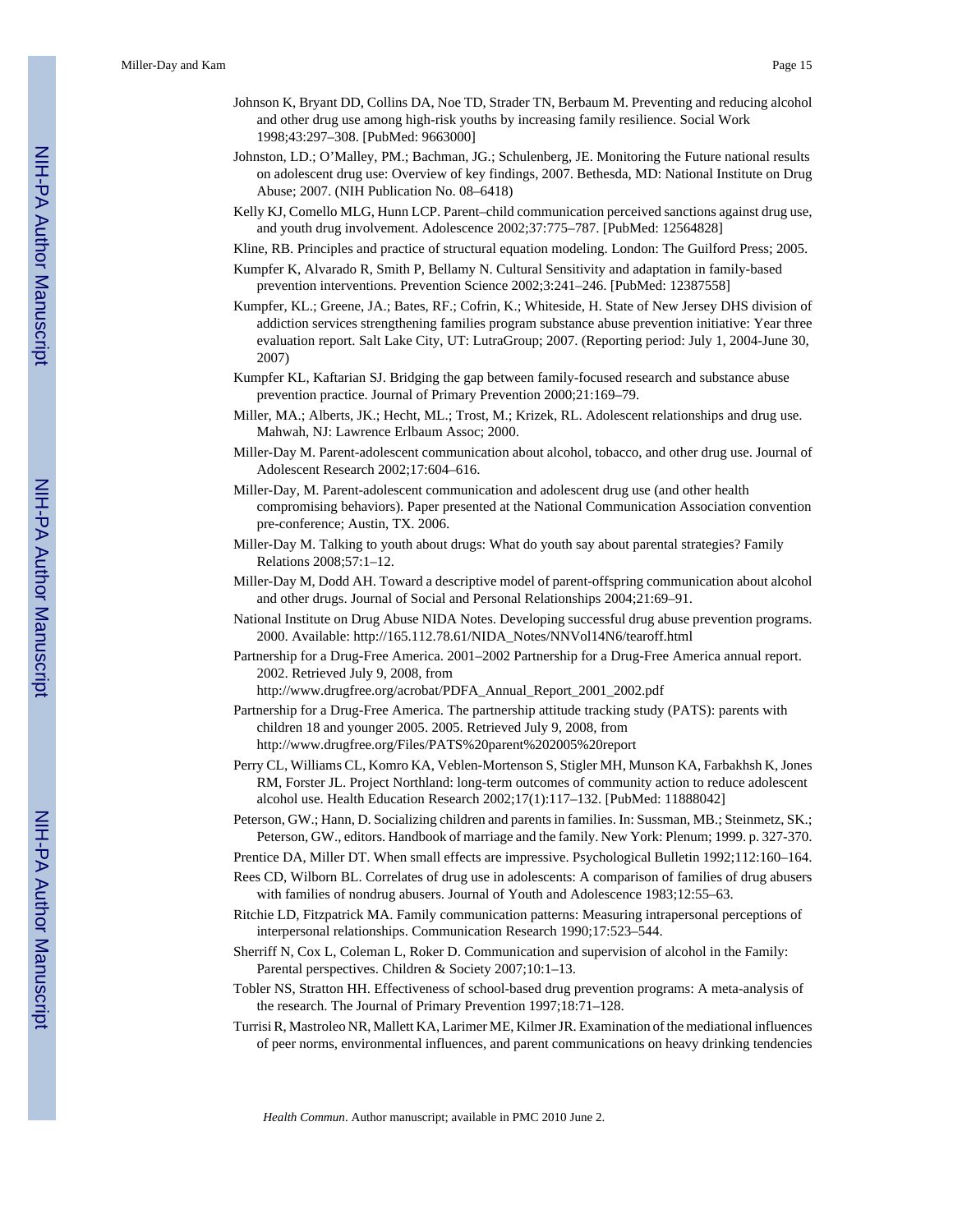- Johnson K, Bryant DD, Collins DA, Noe TD, Strader TN, Berbaum M. Preventing and reducing alcohol and other drug use among high-risk youths by increasing family resilience. Social Work 1998;43:297–308. [PubMed: 9663000]
- Johnston, LD.; O'Malley, PM.; Bachman, JG.; Schulenberg, JE. Monitoring the Future national results on adolescent drug use: Overview of key findings, 2007. Bethesda, MD: National Institute on Drug Abuse; 2007. (NIH Publication No. 08–6418)
- Kelly KJ, Comello MLG, Hunn LCP. Parent–child communication perceived sanctions against drug use, and youth drug involvement. Adolescence 2002;37:775–787. [PubMed: 12564828]
- Kline, RB. Principles and practice of structural equation modeling. London: The Guilford Press; 2005.
- Kumpfer K, Alvarado R, Smith P, Bellamy N. Cultural Sensitivity and adaptation in family-based prevention interventions. Prevention Science 2002;3:241–246. [PubMed: 12387558]
- Kumpfer, KL.; Greene, JA.; Bates, RF.; Cofrin, K.; Whiteside, H. State of New Jersey DHS division of addiction services strengthening families program substance abuse prevention initiative: Year three evaluation report. Salt Lake City, UT: LutraGroup; 2007. (Reporting period: July 1, 2004-June 30, 2007)
- Kumpfer KL, Kaftarian SJ. Bridging the gap between family-focused research and substance abuse prevention practice. Journal of Primary Prevention 2000;21:169–79.
- Miller, MA.; Alberts, JK.; Hecht, ML.; Trost, M.; Krizek, RL. Adolescent relationships and drug use. Mahwah, NJ: Lawrence Erlbaum Assoc; 2000.
- Miller-Day M. Parent-adolescent communication about alcohol, tobacco, and other drug use. Journal of Adolescent Research 2002;17:604–616.
- Miller-Day, M. Parent-adolescent communication and adolescent drug use (and other health compromising behaviors). Paper presented at the National Communication Association convention pre-conference; Austin, TX. 2006.
- Miller-Day M. Talking to youth about drugs: What do youth say about parental strategies? Family Relations 2008;57:1–12.
- Miller-Day M, Dodd AH. Toward a descriptive model of parent-offspring communication about alcohol and other drugs. Journal of Social and Personal Relationships 2004;21:69–91.
- National Institute on Drug Abuse NIDA Notes. Developing successful drug abuse prevention programs. 2000. Available: [http://165.112.78.61/NIDA\\_Notes/NNVol14N6/tearoff.html](http://165.112.78.61/NIDA_Notes/NNVol14N6/tearoff.html)
- Partnership for a Drug-Free America. 2001–2002 Partnership for a Drug-Free America annual report. 2002. Retrieved July 9, 2008, from

[http://www.drugfree.org/acrobat/PDFA\\_Annual\\_Report\\_2001\\_2002.pdf](http://www.drugfree.org/acrobat/PDFA_Annual_Report_2001_2002.pdf)

- Partnership for a Drug-Free America. The partnership attitude tracking study (PATS): parents with children 18 and younger 2005. 2005. Retrieved July 9, 2008, from [http://www.drugfree.org/Files/PATS%20parent%202005%20report](http://www.drugfree.org/Files/PATS%2520parent%25202005%2520report)
- Perry CL, Williams CL, Komro KA, Veblen-Mortenson S, Stigler MH, Munson KA, Farbakhsh K, Jones RM, Forster JL. Project Northland: long-term outcomes of community action to reduce adolescent alcohol use. Health Education Research 2002;17(1):117–132. [PubMed: 11888042]
- Peterson, GW.; Hann, D. Socializing children and parents in families. In: Sussman, MB.; Steinmetz, SK.; Peterson, GW., editors. Handbook of marriage and the family. New York: Plenum; 1999. p. 327-370.
- Prentice DA, Miller DT. When small effects are impressive. Psychological Bulletin 1992;112:160–164.
- Rees CD, Wilborn BL. Correlates of drug use in adolescents: A comparison of families of drug abusers with families of nondrug abusers. Journal of Youth and Adolescence 1983;12:55–63.
- Ritchie LD, Fitzpatrick MA. Family communication patterns: Measuring intrapersonal perceptions of interpersonal relationships. Communication Research 1990;17:523–544.
- Sherriff N, Cox L, Coleman L, Roker D. Communication and supervision of alcohol in the Family: Parental perspectives. Children & Society 2007;10:1–13.
- Tobler NS, Stratton HH. Effectiveness of school-based drug prevention programs: A meta-analysis of the research. The Journal of Primary Prevention 1997;18:71–128.
- Turrisi R, Mastroleo NR, Mallett KA, Larimer ME, Kilmer JR. Examination of the mediational influences of peer norms, environmental influences, and parent communications on heavy drinking tendencies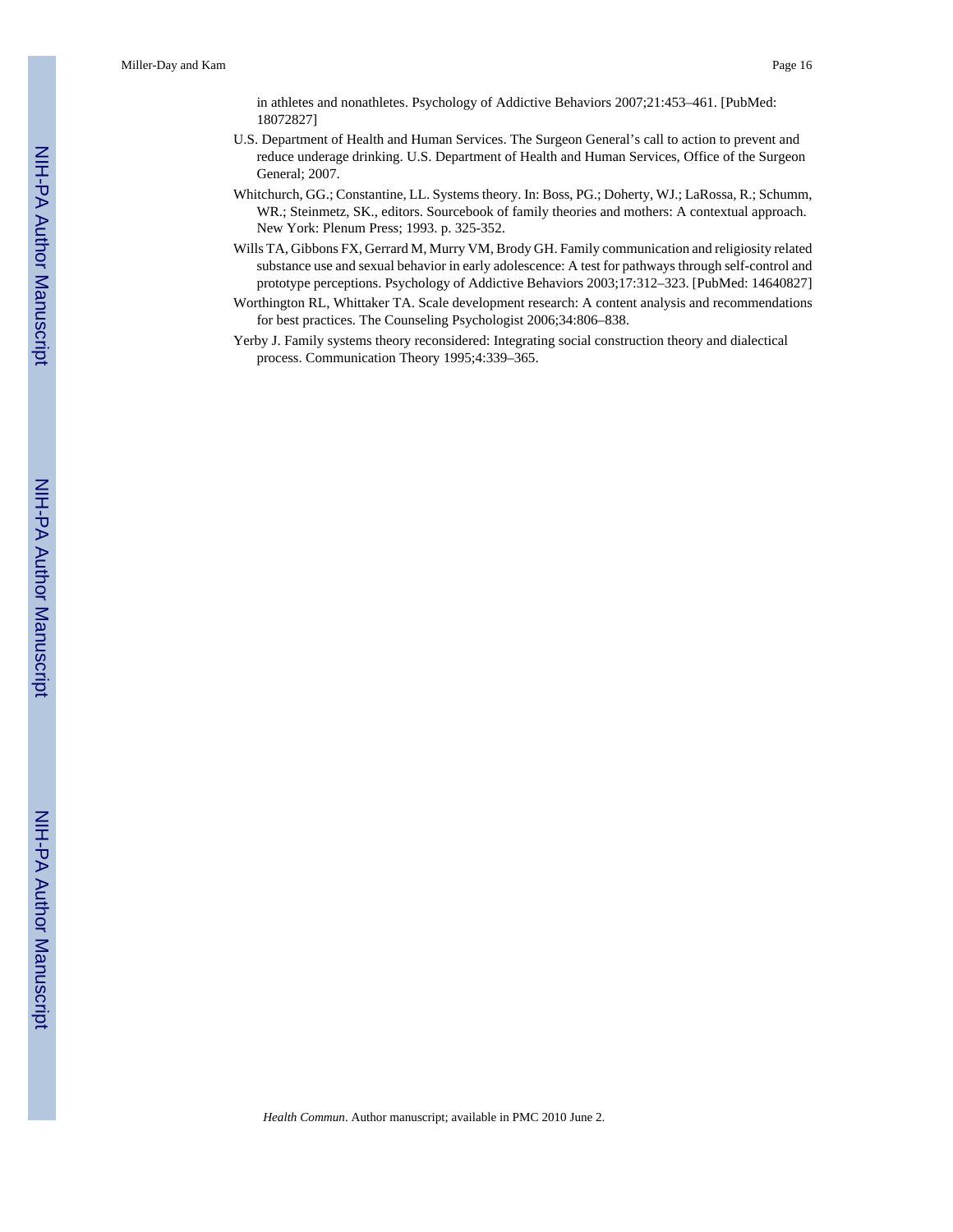in athletes and nonathletes. Psychology of Addictive Behaviors 2007;21:453–461. [PubMed: 18072827]

- U.S. Department of Health and Human Services. The Surgeon General's call to action to prevent and reduce underage drinking. U.S. Department of Health and Human Services, Office of the Surgeon General; 2007.
- Whitchurch, GG.; Constantine, LL. Systems theory. In: Boss, PG.; Doherty, WJ.; LaRossa, R.; Schumm, WR.; Steinmetz, SK., editors. Sourcebook of family theories and mothers: A contextual approach. New York: Plenum Press; 1993. p. 325-352.
- Wills TA, Gibbons FX, Gerrard M, Murry VM, Brody GH. Family communication and religiosity related substance use and sexual behavior in early adolescence: A test for pathways through self-control and prototype perceptions. Psychology of Addictive Behaviors 2003;17:312–323. [PubMed: 14640827]
- Worthington RL, Whittaker TA. Scale development research: A content analysis and recommendations for best practices. The Counseling Psychologist 2006;34:806–838.
- Yerby J. Family systems theory reconsidered: Integrating social construction theory and dialectical process. Communication Theory 1995;4:339–365.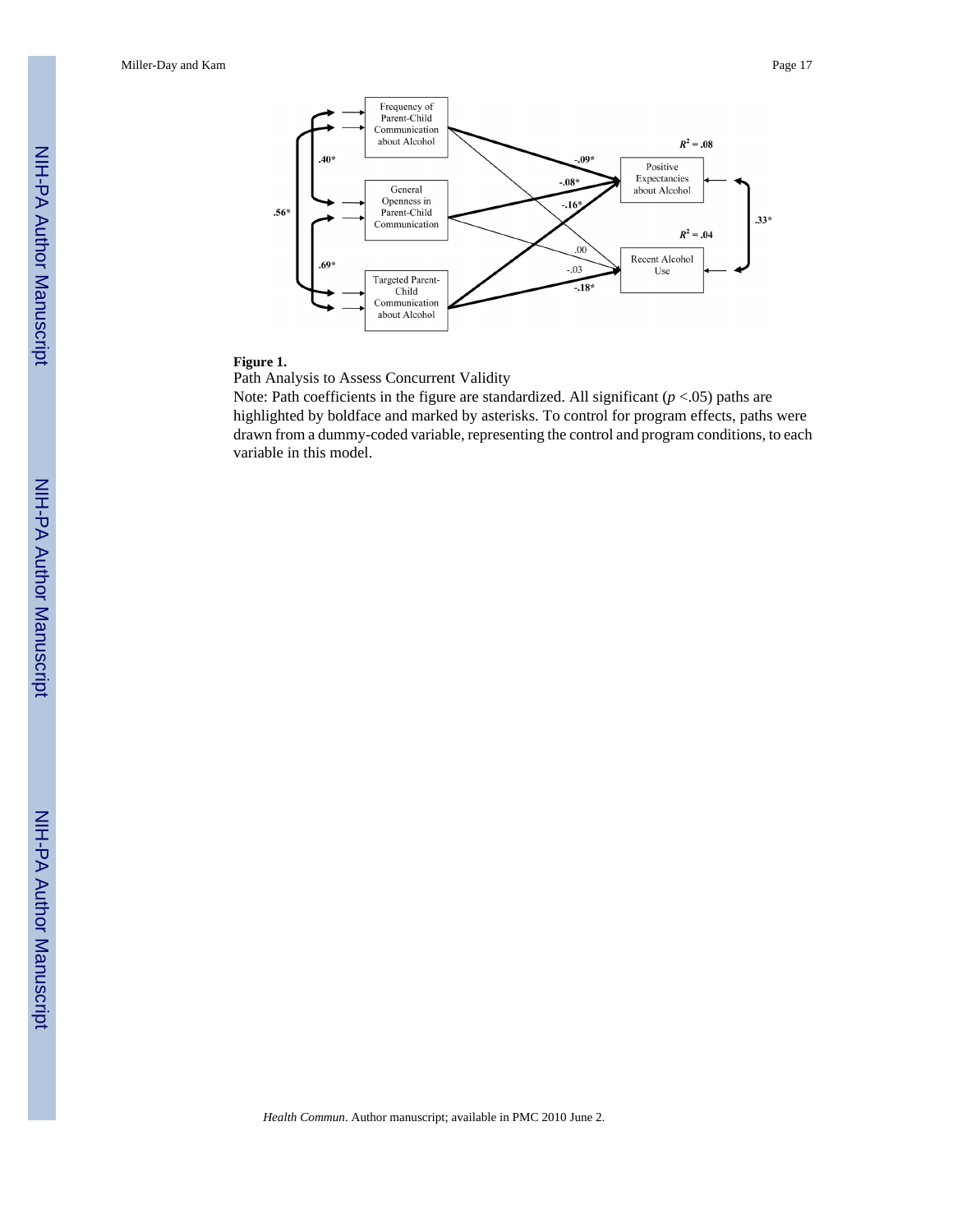Miller-Day and Kam Page 17



#### **Figure 1.**

Path Analysis to Assess Concurrent Validity

Note: Path coefficients in the figure are standardized. All significant (*p* <.05) paths are highlighted by boldface and marked by asterisks. To control for program effects, paths were drawn from a dummy-coded variable, representing the control and program conditions, to each variable in this model.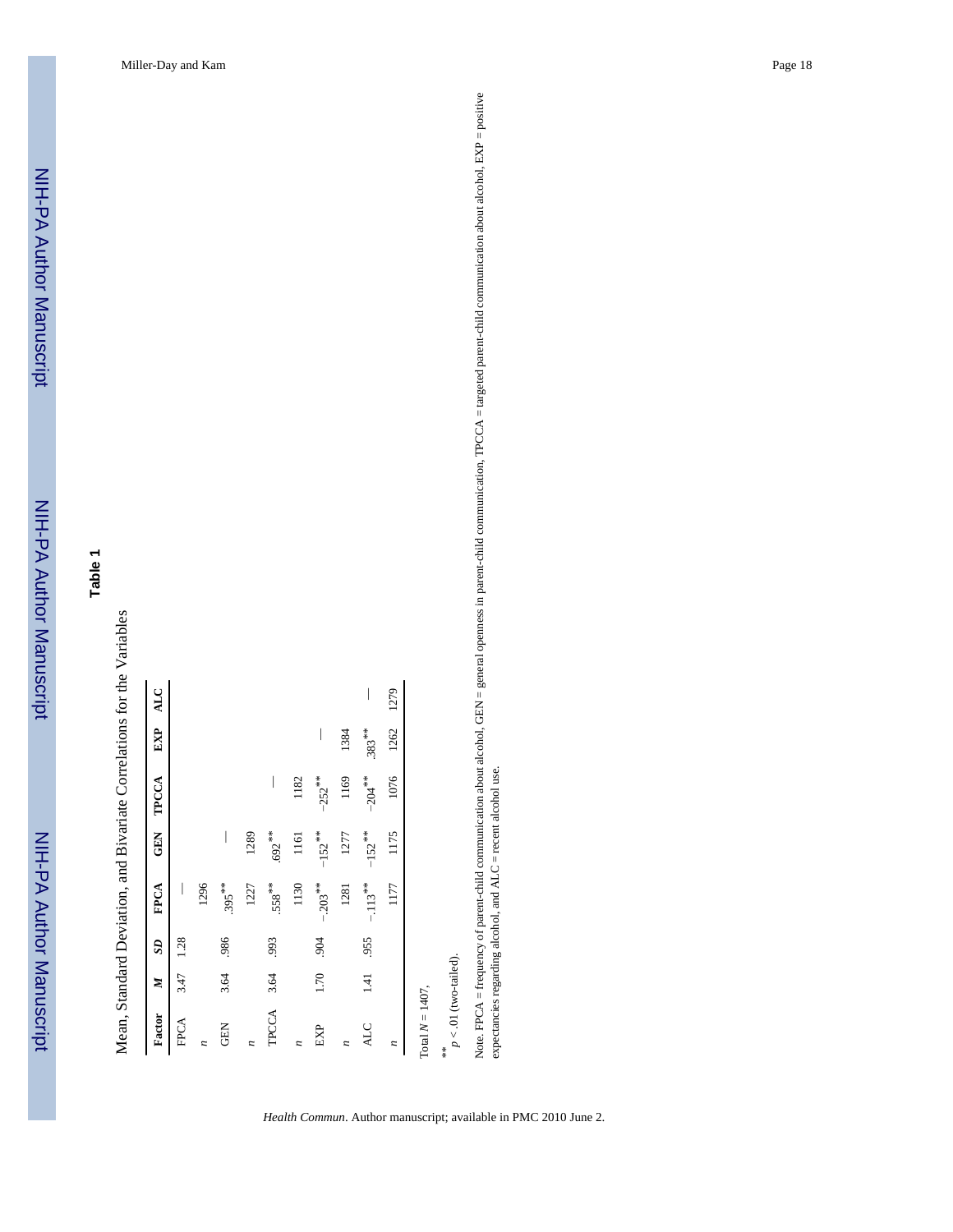# **Table 1**

Mean, Standard Deviation, and Bivariate Correlations for the Variables Mean, Standard Deviation, and Bivariate Correlations for the Variables

| I<br>$.395***$<br>1296 |                      |                                               |      |
|------------------------|----------------------|-----------------------------------------------|------|
|                        |                      |                                               |      |
|                        |                      |                                               |      |
|                        |                      |                                               |      |
| 1289<br>1227           |                      |                                               |      |
| $.558***$              |                      |                                               |      |
| 1161<br>1130           | 1182                 |                                               |      |
| $-203$ **              | $-252$ <sup>**</sup> | $\overline{\phantom{a}}$                      |      |
| 1277<br>1281           | 1169                 | 1384                                          |      |
| $-.113**$              | $-204$ **            | $.383***$                                     | I    |
| 1175<br>1177           | 1076                 | 1262                                          | 1279 |
|                        |                      | $.692**$<br>$-152$ **<br>$-152$ <sup>**</sup> |      |

 $p$  < .01 (two-tailed).  $p < .01$  (two-tailed).

*Health Commun*. Author manuscript; available in PMC 2010 June 2.

Note. FPCA = frequency of parent-child communication about alcohol, GEN = general openness in parent-child communication, TPCCA = targeted parent-child communication about alcohol, EXP = positive<br>expectancies regarding al Note. FPCA = frequency of parent-child communication about alcohol, GEN = general openness in parent-child communication, TPCCA = targeted parent-child communication about alcohol, EXP = positive expectancies regarding alcohol, and ALC = recent alcohol use.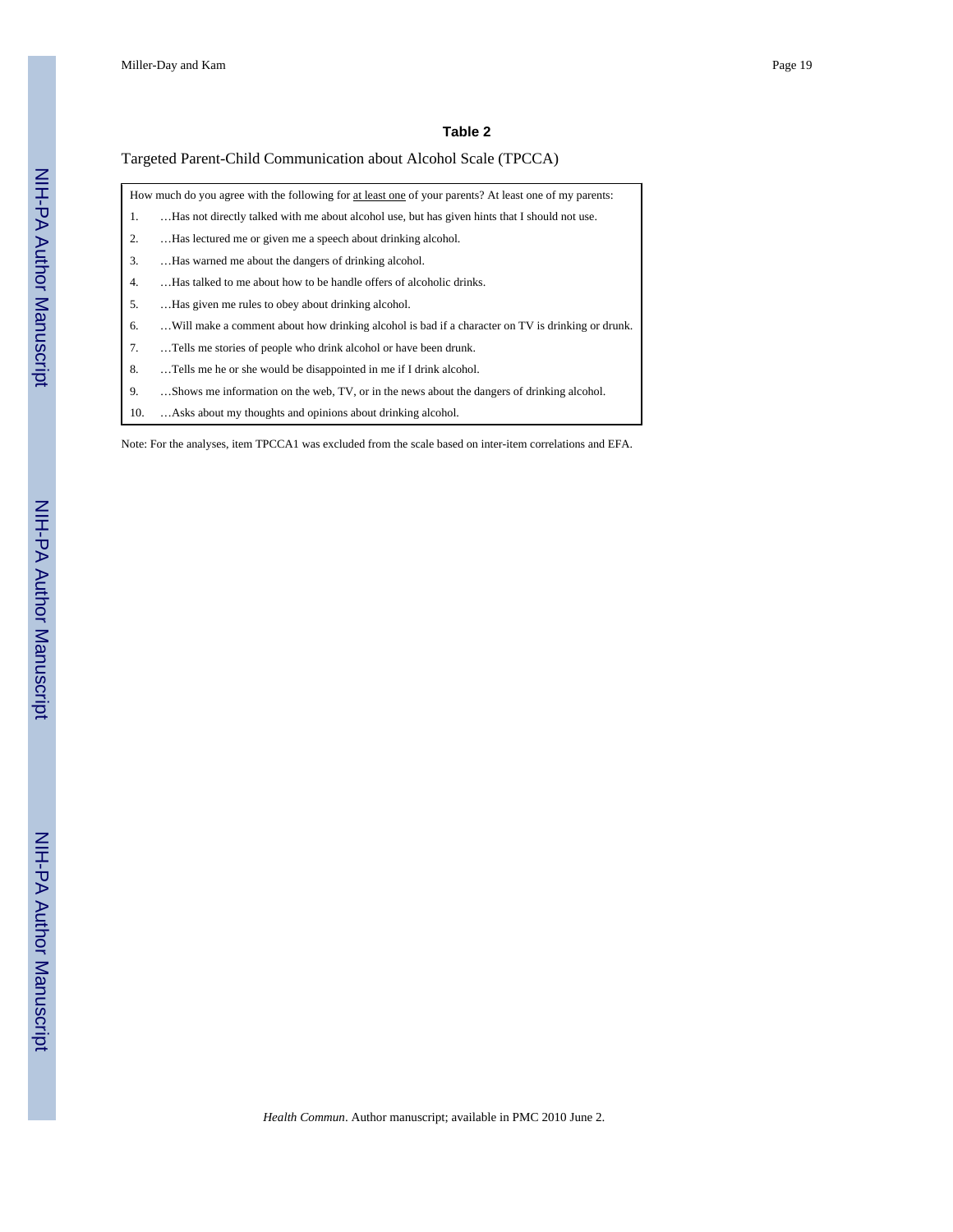#### **Table 2**

#### Targeted Parent-Child Communication about Alcohol Scale (TPCCA)

|    | How much do you agree with the following for at least one of your parents? At least one of my parents: |
|----|--------------------------------------------------------------------------------------------------------|
| 1. | Has not directly talked with me about alcohol use, but has given hints that I should not use.          |
| 2. | Has lectured me or given me a speech about drinking alcohol.                                           |
| 3. | Has warned me about the dangers of drinking alcohol.                                                   |
| 4. | Has talked to me about how to be handle offers of alcoholic drinks.                                    |
| 5. | Has given me rules to obey about drinking alcohol.                                                     |
| 6. | Will make a comment about how drinking alcohol is bad if a character on TV is drinking or drunk.       |
| 7. | Tells me stories of people who drink alcohol or have been drunk.                                       |
| 8. | Tells me he or she would be disappointed in me if I drink alcohol.                                     |
| 9. | Shows me information on the web, TV, or in the news about the dangers of drinking alcohol.             |

10. …Asks about my thoughts and opinions about drinking alcohol.

Note: For the analyses, item TPCCA1 was excluded from the scale based on inter-item correlations and EFA.